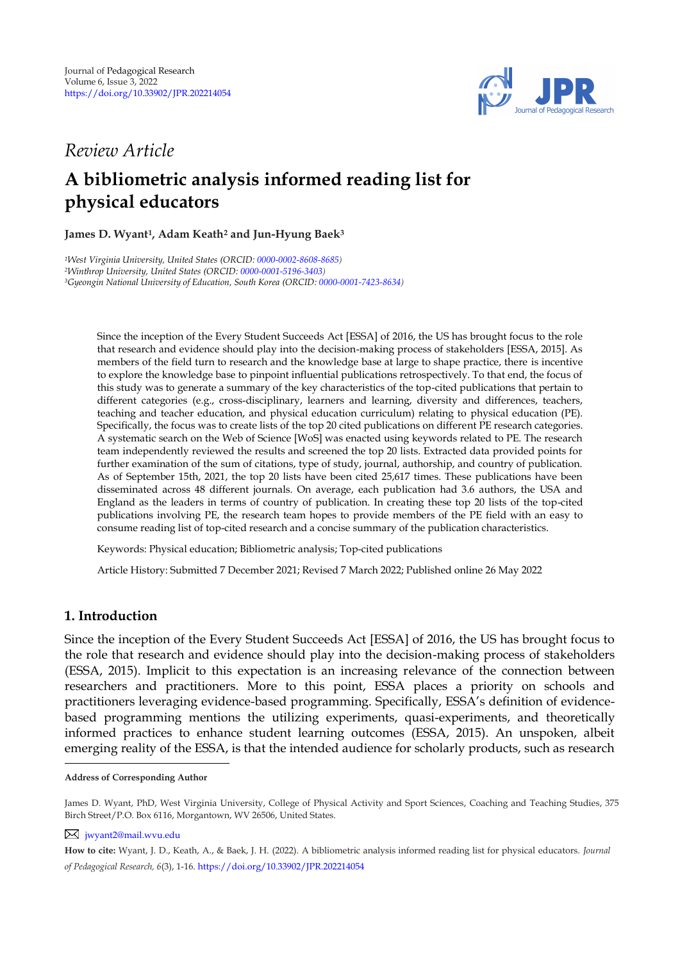

# *Review Article*

# **A bibliometric analysis informed reading list for physical educators**

# **James D. Wyant<sup>1</sup> , Adam Keath<sup>2</sup> and Jun-Hyung Baek<sup>3</sup>**

*<sup>1</sup>West Virginia University, United States (ORCID[: 0000-0002-8608-8685\)](https://orcid.org/0000-0002-8608-8685) <sup>2</sup>Winthrop University, United States (ORCID[: 0000-0001-5196-3403\)](https://orcid.org/0000-0001-5196-3403) <sup>3</sup>Gyeongin National University of Education, South Korea (ORCID[: 0000-0001-7423-8634\)](http://www.orcid.org/0000-0001-7423-8634)* 

Since the inception of the Every Student Succeeds Act [ESSA] of 2016, the US has brought focus to the role that research and evidence should play into the decision-making process of stakeholders [ESSA, 2015]. As members of the field turn to research and the knowledge base at large to shape practice, there is incentive to explore the knowledge base to pinpoint influential publications retrospectively. To that end, the focus of this study was to generate a summary of the key characteristics of the top-cited publications that pertain to different categories (e.g., cross-disciplinary, learners and learning, diversity and differences, teachers, teaching and teacher education, and physical education curriculum) relating to physical education (PE). Specifically, the focus was to create lists of the top 20 cited publications on different PE research categories. A systematic search on the Web of Science [WoS] was enacted using keywords related to PE. The research team independently reviewed the results and screened the top 20 lists. Extracted data provided points for further examination of the sum of citations, type of study, journal, authorship, and country of publication. As of September 15th, 2021, the top 20 lists have been cited 25,617 times. These publications have been disseminated across 48 different journals. On average, each publication had 3.6 authors, the USA and England as the leaders in terms of country of publication. In creating these top 20 lists of the top-cited publications involving PE, the research team hopes to provide members of the PE field with an easy to consume reading list of top-cited research and a concise summary of the publication characteristics.

Keywords: Physical education; Bibliometric analysis; Top-cited publications

Article History: Submitted 7 December 2021; Revised 7 March 2022; Published online 26 May 2022

# **1. Introduction**

Since the inception of the Every Student Succeeds Act [ESSA] of 2016, the US has brought focus to the role that research and evidence should play into the decision-making process of stakeholders (ESSA, 2015). Implicit to this expectation is an increasing relevance of the connection between researchers and practitioners. More to this point, ESSA places a priority on schools and practitioners leveraging evidence-based programming. Specifically, ESSA's definition of evidencebased programming mentions the utilizing experiments, quasi-experiments, and theoretically informed practices to enhance student learning outcomes (ESSA, 2015). An unspoken, albeit emerging reality of the ESSA, is that the intended audience for scholarly products, such as research

**Address of Corresponding Author**

James D. Wyant, PhD, West Virginia University, College of Physical Activity and Sport Sciences, Coaching and Teaching Studies, 375 Birch Street/P.O. Box 6116, Morgantown, WV 26506, United States.

[jwyant2@mail.wvu.edu](mailto:jwyant2@mail.wvu.edu)

**How to cite:** Wyant, J. D., Keath, A., & Baek, J. H. (2022). A bibliometric analysis informed reading list for physical educators. *Journal of Pedagogical Research, 6*(3), 1-16. <https://doi.org/10.33902/JPR.202214054>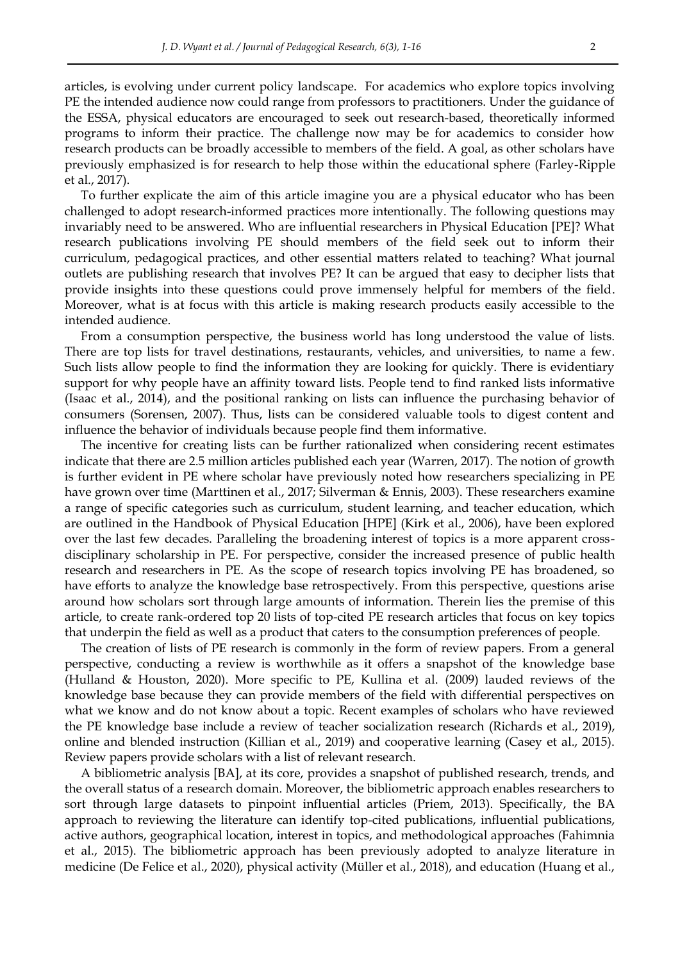articles, is evolving under current policy landscape. For academics who explore topics involving PE the intended audience now could range from professors to practitioners. Under the guidance of the ESSA, physical educators are encouraged to seek out research-based, theoretically informed programs to inform their practice. The challenge now may be for academics to consider how research products can be broadly accessible to members of the field. A goal, as other scholars have previously emphasized is for research to help those within the educational sphere (Farley-Ripple et al., 2017).

To further explicate the aim of this article imagine you are a physical educator who has been challenged to adopt research-informed practices more intentionally. The following questions may invariably need to be answered. Who are influential researchers in Physical Education [PE]? What research publications involving PE should members of the field seek out to inform their curriculum, pedagogical practices, and other essential matters related to teaching? What journal outlets are publishing research that involves PE? It can be argued that easy to decipher lists that provide insights into these questions could prove immensely helpful for members of the field. Moreover, what is at focus with this article is making research products easily accessible to the intended audience.

From a consumption perspective, the business world has long understood the value of lists. There are top lists for travel destinations, restaurants, vehicles, and universities, to name a few. Such lists allow people to find the information they are looking for quickly. There is evidentiary support for why people have an affinity toward lists. People tend to find ranked lists informative (Isaac et al., 2014), and the positional ranking on lists can influence the purchasing behavior of consumers (Sorensen, 2007). Thus, lists can be considered valuable tools to digest content and influence the behavior of individuals because people find them informative.

The incentive for creating lists can be further rationalized when considering recent estimates indicate that there are 2.5 million articles published each year (Warren, 2017). The notion of growth is further evident in PE where scholar have previously noted how researchers specializing in PE have grown over time (Marttinen et al., 2017; Silverman & Ennis, 2003). These researchers examine a range of specific categories such as curriculum, student learning, and teacher education, which are outlined in the Handbook of Physical Education [HPE] (Kirk et al., 2006), have been explored over the last few decades. Paralleling the broadening interest of topics is a more apparent crossdisciplinary scholarship in PE. For perspective, consider the increased presence of public health research and researchers in PE. As the scope of research topics involving PE has broadened, so have efforts to analyze the knowledge base retrospectively. From this perspective, questions arise around how scholars sort through large amounts of information. Therein lies the premise of this article, to create rank-ordered top 20 lists of top-cited PE research articles that focus on key topics that underpin the field as well as a product that caters to the consumption preferences of people.

The creation of lists of PE research is commonly in the form of review papers. From a general perspective, conducting a review is worthwhile as it offers a snapshot of the knowledge base (Hulland & Houston, 2020). More specific to PE, Kullina et al. (2009) lauded reviews of the knowledge base because they can provide members of the field with differential perspectives on what we know and do not know about a topic. Recent examples of scholars who have reviewed the PE knowledge base include a review of teacher socialization research (Richards et al., 2019), online and blended instruction (Killian et al., 2019) and cooperative learning (Casey et al., 2015). Review papers provide scholars with a list of relevant research.

A bibliometric analysis [BA], at its core, provides a snapshot of published research, trends, and the overall status of a research domain. Moreover, the bibliometric approach enables researchers to sort through large datasets to pinpoint influential articles (Priem, 2013). Specifically, the BA approach to reviewing the literature can identify top-cited publications, influential publications, active authors, geographical location, interest in topics, and methodological approaches (Fahimnia et al., 2015). The bibliometric approach has been previously adopted to analyze literature in medicine (De Felice et al., 2020), physical activity (Müller et al., 2018), and education (Huang et al.,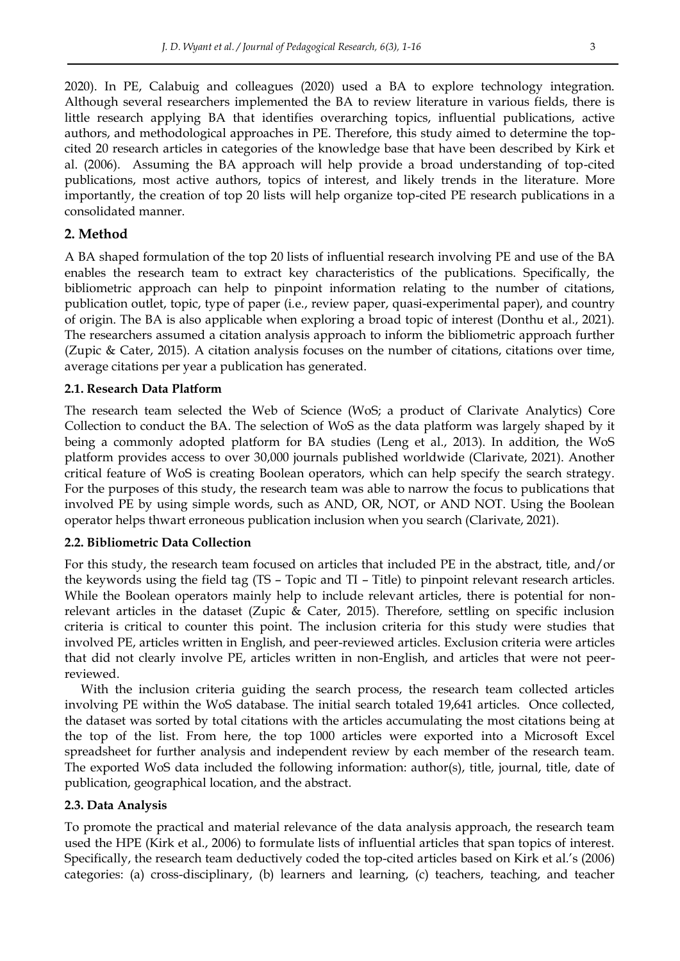2020). In PE, Calabuig and colleagues (2020) used a BA to explore technology integration. Although several researchers implemented the BA to review literature in various fields, there is little research applying BA that identifies overarching topics, influential publications, active authors, and methodological approaches in PE. Therefore, this study aimed to determine the topcited 20 research articles in categories of the knowledge base that have been described by Kirk et al. (2006). Assuming the BA approach will help provide a broad understanding of top-cited publications, most active authors, topics of interest, and likely trends in the literature. More importantly, the creation of top 20 lists will help organize top-cited PE research publications in a consolidated manner.

# **2. Method**

A BA shaped formulation of the top 20 lists of influential research involving PE and use of the BA enables the research team to extract key characteristics of the publications. Specifically, the bibliometric approach can help to pinpoint information relating to the number of citations, publication outlet, topic, type of paper (i.e., review paper, quasi-experimental paper), and country of origin. The BA is also applicable when exploring a broad topic of interest (Donthu et al., 2021). The researchers assumed a citation analysis approach to inform the bibliometric approach further (Zupic & Cater, 2015). A citation analysis focuses on the number of citations, citations over time, average citations per year a publication has generated.

#### **2.1. Research Data Platform**

The research team selected the Web of Science (WoS; a product of Clarivate Analytics) Core Collection to conduct the BA. The selection of WoS as the data platform was largely shaped by it being a commonly adopted platform for BA studies (Leng et al., 2013). In addition, the WoS platform provides access to over 30,000 journals published worldwide (Clarivate, 2021). Another critical feature of WoS is creating Boolean operators, which can help specify the search strategy. For the purposes of this study, the research team was able to narrow the focus to publications that involved PE by using simple words, such as AND, OR, NOT, or AND NOT. Using the Boolean operator helps thwart erroneous publication inclusion when you search (Clarivate, 2021).

# **2.2. Bibliometric Data Collection**

For this study, the research team focused on articles that included PE in the abstract, title, and/or the keywords using the field tag (TS – Topic and TI – Title) to pinpoint relevant research articles. While the Boolean operators mainly help to include relevant articles, there is potential for nonrelevant articles in the dataset (Zupic & Cater, 2015). Therefore, settling on specific inclusion criteria is critical to counter this point. The inclusion criteria for this study were studies that involved PE, articles written in English, and peer-reviewed articles. Exclusion criteria were articles that did not clearly involve PE, articles written in non-English, and articles that were not peerreviewed.

With the inclusion criteria guiding the search process, the research team collected articles involving PE within the WoS database. The initial search totaled 19,641 articles. Once collected, the dataset was sorted by total citations with the articles accumulating the most citations being at the top of the list. From here, the top 1000 articles were exported into a Microsoft Excel spreadsheet for further analysis and independent review by each member of the research team. The exported WoS data included the following information: author(s), title, journal, title, date of publication, geographical location, and the abstract.

# **2.3. Data Analysis**

To promote the practical and material relevance of the data analysis approach, the research team used the HPE (Kirk et al., 2006) to formulate lists of influential articles that span topics of interest. Specifically, the research team deductively coded the top-cited articles based on Kirk et al.'s (2006) categories: (a) cross-disciplinary, (b) learners and learning, (c) teachers, teaching, and teacher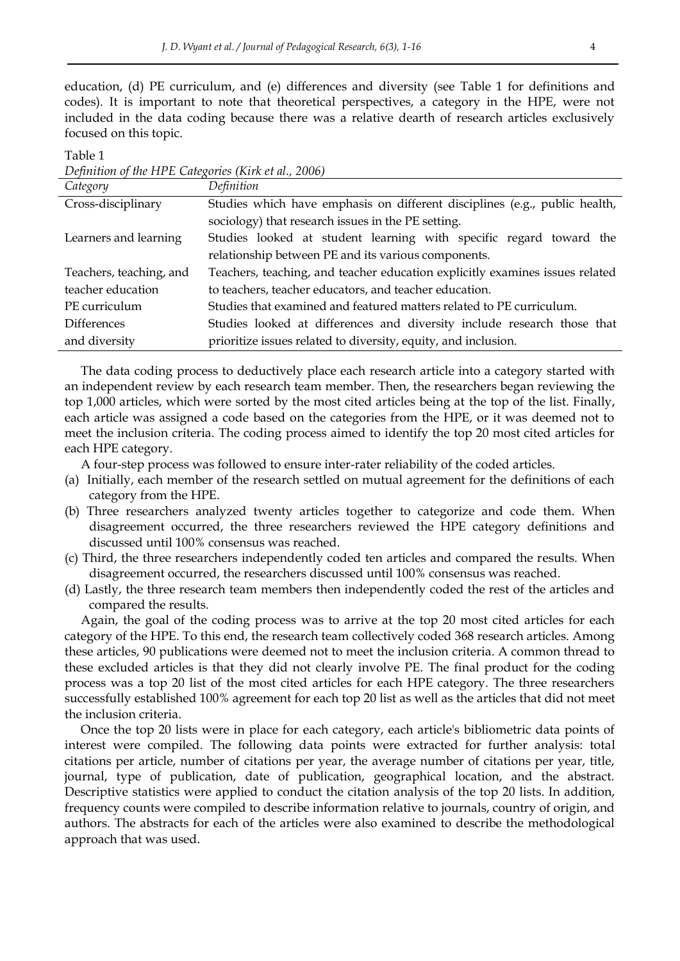education, (d) PE curriculum, and (e) differences and diversity (see Table 1 for definitions and codes). It is important to note that theoretical perspectives, a category in the HPE, were not included in the data coding because there was a relative dearth of research articles exclusively focused on this topic.

Table 1

*Definition of the HPE Categories (Kirk et al., 2006)*

| Category                | Definition                                                                   |
|-------------------------|------------------------------------------------------------------------------|
| Cross-disciplinary      | Studies which have emphasis on different disciplines (e.g., public health,   |
|                         | sociology) that research issues in the PE setting.                           |
| Learners and learning   | Studies looked at student learning with specific regard toward the           |
|                         | relationship between PE and its various components.                          |
| Teachers, teaching, and | Teachers, teaching, and teacher education explicitly examines issues related |
| teacher education       | to teachers, teacher educators, and teacher education.                       |
| PE curriculum           | Studies that examined and featured matters related to PE curriculum.         |
| <b>Differences</b>      | Studies looked at differences and diversity include research those that      |
| and diversity           | prioritize issues related to diversity, equity, and inclusion.               |

The data coding process to deductively place each research article into a category started with an independent review by each research team member. Then, the researchers began reviewing the top 1,000 articles, which were sorted by the most cited articles being at the top of the list. Finally, each article was assigned a code based on the categories from the HPE, or it was deemed not to meet the inclusion criteria. The coding process aimed to identify the top 20 most cited articles for each HPE category.

A four-step process was followed to ensure inter-rater reliability of the coded articles.

- (a) Initially, each member of the research settled on mutual agreement for the definitions of each category from the HPE.
- (b) Three researchers analyzed twenty articles together to categorize and code them. When disagreement occurred, the three researchers reviewed the HPE category definitions and discussed until 100% consensus was reached.
- (c) Third, the three researchers independently coded ten articles and compared the results. When disagreement occurred, the researchers discussed until 100% consensus was reached.
- (d) Lastly, the three research team members then independently coded the rest of the articles and compared the results.

Again, the goal of the coding process was to arrive at the top 20 most cited articles for each category of the HPE. To this end, the research team collectively coded 368 research articles. Among these articles, 90 publications were deemed not to meet the inclusion criteria. A common thread to these excluded articles is that they did not clearly involve PE. The final product for the coding process was a top 20 list of the most cited articles for each HPE category. The three researchers successfully established 100% agreement for each top 20 list as well as the articles that did not meet the inclusion criteria.

Once the top 20 lists were in place for each category, each article's bibliometric data points of interest were compiled. The following data points were extracted for further analysis: total citations per article, number of citations per year, the average number of citations per year, title, journal, type of publication, date of publication, geographical location, and the abstract. Descriptive statistics were applied to conduct the citation analysis of the top 20 lists. In addition, frequency counts were compiled to describe information relative to journals, country of origin, and authors. The abstracts for each of the articles were also examined to describe the methodological approach that was used.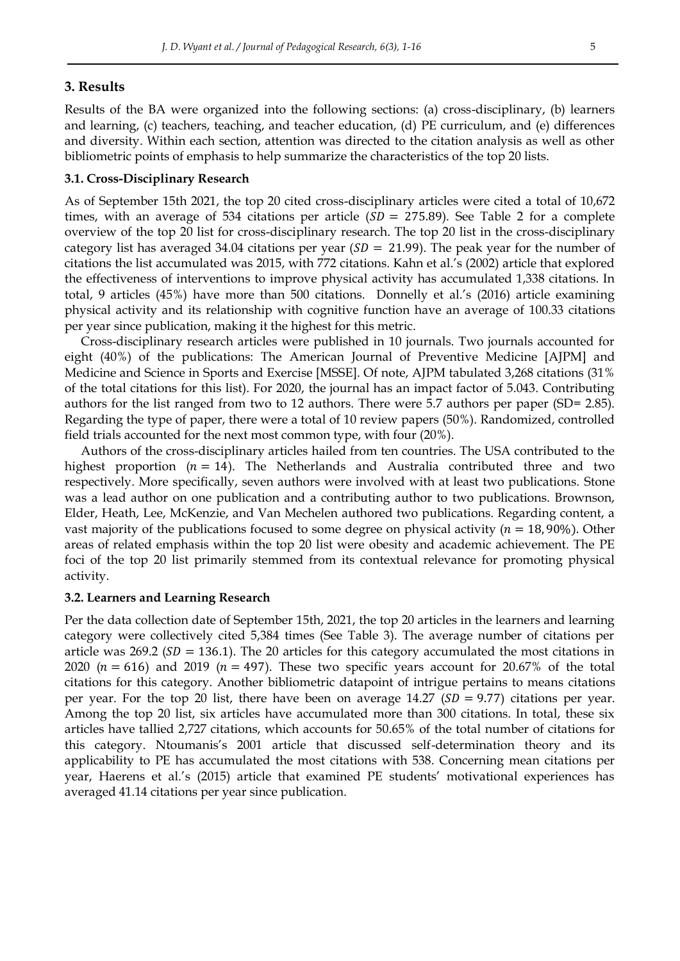# **3. Results**

Results of the BA were organized into the following sections: (a) cross-disciplinary, (b) learners and learning, (c) teachers, teaching, and teacher education, (d) PE curriculum, and (e) differences and diversity. Within each section, attention was directed to the citation analysis as well as other bibliometric points of emphasis to help summarize the characteristics of the top 20 lists.

#### **3.1. Cross-Disciplinary Research**

As of September 15th 2021, the top 20 cited cross-disciplinary articles were cited a total of 10,672 times, with an average of 534 citations per article  $(SD = 275.89)$ . See Table 2 for a complete overview of the top 20 list for cross-disciplinary research. The top 20 list in the cross-disciplinary category list has averaged 34.04 citations per year ( $SD = 21.99$ ). The peak year for the number of citations the list accumulated was 2015, with 772 citations. Kahn et al.'s (2002) article that explored the effectiveness of interventions to improve physical activity has accumulated 1,338 citations. In total, 9 articles (45%) have more than 500 citations. Donnelly et al.'s (2016) article examining physical activity and its relationship with cognitive function have an average of 100.33 citations per year since publication, making it the highest for this metric.

Cross-disciplinary research articles were published in 10 journals. Two journals accounted for eight (40%) of the publications: The American Journal of Preventive Medicine [AJPM] and Medicine and Science in Sports and Exercise [MSSE]. Of note, AJPM tabulated 3,268 citations (31% of the total citations for this list). For 2020, the journal has an impact factor of 5.043. Contributing authors for the list ranged from two to 12 authors. There were 5.7 authors per paper (SD= 2.85). Regarding the type of paper, there were a total of 10 review papers (50%). Randomized, controlled field trials accounted for the next most common type, with four (20%).

Authors of the cross-disciplinary articles hailed from ten countries. The USA contributed to the highest proportion ( $n = 14$ ). The Netherlands and Australia contributed three and two respectively. More specifically, seven authors were involved with at least two publications. Stone was a lead author on one publication and a contributing author to two publications. Brownson, Elder, Heath, Lee, McKenzie, and Van Mechelen authored two publications. Regarding content, a vast majority of the publications focused to some degree on physical activity ( $n = 18,90\%$ ). Other areas of related emphasis within the top 20 list were obesity and academic achievement. The PE foci of the top 20 list primarily stemmed from its contextual relevance for promoting physical activity.

#### **3.2. Learners and Learning Research**

Per the data collection date of September 15th, 2021, the top 20 articles in the learners and learning category were collectively cited 5,384 times (See Table 3). The average number of citations per article was 269.2 ( $SD = 136.1$ ). The 20 articles for this category accumulated the most citations in 2020 ( $n = 616$ ) and 2019 ( $n = 497$ ). These two specific years account for 20.67% of the total citations for this category. Another bibliometric datapoint of intrigue pertains to means citations per year. For the top 20 list, there have been on average 14.27 ( $SD = 9.77$ ) citations per year. Among the top 20 list, six articles have accumulated more than 300 citations. In total, these six articles have tallied 2,727 citations, which accounts for 50.65% of the total number of citations for this category. Ntoumanis's 2001 article that discussed self-determination theory and its applicability to PE has accumulated the most citations with 538. Concerning mean citations per year, Haerens et al.'s (2015) article that examined PE students' motivational experiences has averaged 41.14 citations per year since publication.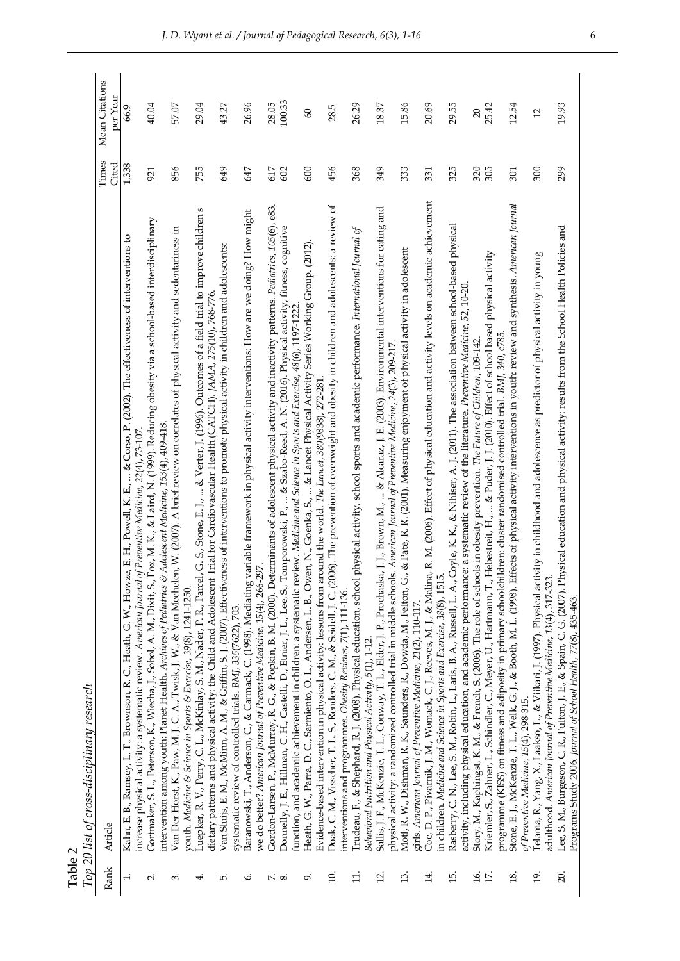| Table 2            | Top 20 list of cross-disciplinary research                                                                                                                                                                                                                                                                                  |            |                 |
|--------------------|-----------------------------------------------------------------------------------------------------------------------------------------------------------------------------------------------------------------------------------------------------------------------------------------------------------------------------|------------|-----------------|
| Rank               | Article                                                                                                                                                                                                                                                                                                                     | Times      | Mean Citations  |
|                    |                                                                                                                                                                                                                                                                                                                             | Cited      | per Year        |
| $\overline{a}$     | Kahn, E. B., Ramsey, L. T., Brownson, R. C., Heath, G. W., Howze, E. H., Powell, K. E.,  & Corso, P. (2002). The effectiveness of interventions to<br>of Preventive Medicine, 22(4), 73-107<br>increase physical activity: a systematic review. American Journal                                                            | 1,338      | 66.9            |
| Ν                  | Gortmaker, S. L., Peterson, K., Wiecha, J., Sobol, A. M., Dixit, S., Fox, M. K., & Laird, N. (1999). Reducing obesity via a school-based interdisciplinary<br>intervention among youth: Planet Health. Archives of Pediatrics & Adolescent Medicine, 153(4), 409-418.                                                       | 921        | 40.04           |
| က                  | Van Der Horst, K., Paw, M. J. C. A., Twisk, J. W., & Van Mechelen, W. (2007). A brief review on correlates of physical activity and sedentariness in                                                                                                                                                                        | 856        | 57.07           |
| ⇥                  | Luepker, R. V., Perry, C. L., McKinlay, S. M., Nader, P. R., Parcel, G. S., Stone, E. J.,  & Verter, J. (1996). Outcomes of a field trial to improve children's<br>youth. Medicine & Science in Sports & Exercise, 39(8), 1241-1250.                                                                                        | 755        | 29.04           |
|                    | dietary patterns and physical activity: the Child and Adolescent Trial for Cardiovascular Health (CATCH), JAMA, 275(10), 768-776.                                                                                                                                                                                           |            |                 |
| ம்                 | Van Sluijs, E. M., McMinn, A. M., & Griffin, S. J. (2007). Effectiveness of interventions to promote physical activity in children and adolescents:<br>systematic review of controlled trials. BMJ, 335(7622), 703.                                                                                                         | 649        | 43.27           |
| نې<br>پ            | Baranowski, T., Anderson, C., & Carmack, C. (1998). Mediating variable framework in physical activity interventions: How are we doing? How might                                                                                                                                                                            | 647        | 26.96           |
|                    | we do better? American Journal of Preventive Medicine, 15(4), 266-297.                                                                                                                                                                                                                                                      |            |                 |
| $\sim$<br>$\infty$ | Gordon-Larsen, P., McMurray, R. G., & Popkin, B. M. (2000). Determinants of adolescent physical activity and inactivity patterns. Pediatrics, 105(6), e83.<br>Tomporowski, P.,  & Szabo-Reed, A. N. (2016). Physical activity, fitness, cognitive<br>Donnelly, J. E., Hillman, C. H., Castelli, D., Etnier, J. L., Lee, S., | 617<br>602 | 100.33<br>28.05 |
|                    | function, and academic achievement in children: a systematic review. Medicine and Science in Sports and Exercise, 48(6), 1197-1222                                                                                                                                                                                          |            |                 |
| Ō                  | Heath, G. W., Parra, D. C., Sarmiento, O. L., Andersen, L. B., Owen, N., Goenka, S.,  & Lancet Physical Activity Series Working Group. (2012)                                                                                                                                                                               | 600        | 60              |
|                    | Evidence-based intervention in physical activity: lessons from around the world. The Lancet, 380(9838), 272-281.                                                                                                                                                                                                            |            |                 |
| $\overline{10}$    | Doak, C. M., Visscher, T. L. S., Renders, C. M., & Seidell, J. C. (2006). The prevention of overweight and obesity in children and adolescents: a review of<br>interventions and programmes. Obesity Reviews, 7(1), 111-136.                                                                                                | 456        | 28.5            |
| $\Xi$              | Trudeau, F., & Shephard, R. J. (2008). Physical education, school physical activity, school sports and academic performance. International Journal of                                                                                                                                                                       | 368        | 26.29           |
|                    | Behavioral Nutrition and Physical Activity, 5(1), 1-12.                                                                                                                                                                                                                                                                     |            |                 |
| $\overline{2}$ .   | Sallis, J. F., McKenzie, T. L., Conway, T. L., Elder, J. P., Prochaska, J. J., Brown, M.,  & Alcaraz, J. E. (2003). Environmental interventions for eating and                                                                                                                                                              | 349        | 18.37           |
| $\Xi$              | Motl, R. W., Dishman, R. K., Saunders, R., Dowda, M., Felton, G., & Pate, R. R. (2001). Measuring enjoyment of physical activity in adolescent<br>physical activity: a randomized controlled trial in middle schools. American Journal of Preventive Medicine, 24(3), 209-217.                                              | 333        | 15.86           |
|                    | girls. American Journal of Preventive Medicine, 21(2), 110-117.                                                                                                                                                                                                                                                             |            |                 |
| $\overline{14}$ .  | Coe, D. P., Pivarnik, J. M., Womack, C. J., Reeves, M. J., & Malina, R. M. (2006). Effect of physical education and activity levels on academic achievement                                                                                                                                                                 | 331        | 20.69           |
| 15.                | Rasberry, C. N., Lee, S. M., Robin, L., Laris, B. A., Russell, L. A., Coyle, K. K., & Nihiser, A. J. (2011). The association between school-based physical<br>ΓÓ,<br>in children. Medicine and Science in Sports and Exercise, 38(8), 151                                                                                   | 325        | 29.55           |
|                    | activity, including physical education, and academic performance: a systematic review of the literature. Preventive Medicine, 52, 10-20.                                                                                                                                                                                    |            |                 |
| 16.                | Story, M., Kaphingst, K. M., & French, S. (2006). The role of schools in obesity prevention. The Future of Children, 109-142.                                                                                                                                                                                               | 320        | 20              |
| $17.$              | Hebestreit, H.,  & Puder, J. J. (2010). Effect of school based physical activity<br>Kriemler, S., Zahner, L., Schindler, C., Meyer, U., Hartmann, T.,                                                                                                                                                                       | 305        | 25.42           |
| 18.                | Stone, E. J., McKenzie, T. L., Welk, G. J., & Booth, M. L. (1998). Effects of physical activity interventions in youth: review and synthesis. American Journal<br>programme (KISS) on fitness and adiposity in primary schoolchildren: cluster randomised controlled trial. BMJ, 340, c785.                                 | 301        | 12.54           |
|                    | of Preventive Medicine, 15(4), 298-315.                                                                                                                                                                                                                                                                                     |            |                 |
| $\overline{5}$     | Telama, R., Yang, X., Laakso, L., & Viikari, J. (1997). Physical activity in childhood and adolescence as predictor of physical activity in young                                                                                                                                                                           | 300        | 12              |
| 20.                | Lee, S. M., Burgeson, C. R., Fulton, J. E., & Spain, C. G. (2007). Physical education and physical activity: results from the School Health Policies and<br>adulthood. American Journal of Preventive Medicine, 13(4), 317-323.                                                                                             | 299        | 19.93           |
|                    | Programs Study 2006. Journal of School Health, 77(8), 435-463.                                                                                                                                                                                                                                                              |            |                 |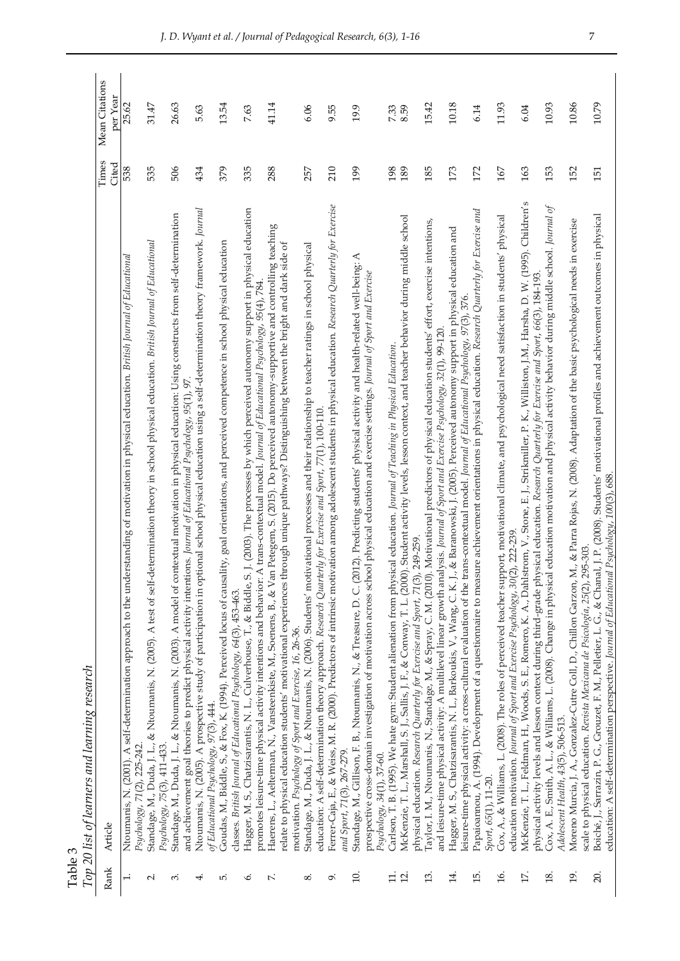| Table 3           | Top 20 list of learners and learning research                                                                                                                                                                                                                                                                                                  |                |                            |
|-------------------|------------------------------------------------------------------------------------------------------------------------------------------------------------------------------------------------------------------------------------------------------------------------------------------------------------------------------------------------|----------------|----------------------------|
| Rank              | Article                                                                                                                                                                                                                                                                                                                                        | Times<br>Cited | Mean Citations<br>per Year |
| $\ddot{ }$        | erstanding of motivation in physical education. British Journal of Educational<br>Ntoumanis, N. (2001). A self-determination approach to the und<br>Psychology, 71(2), 225-242.                                                                                                                                                                | 538            | 25.62                      |
| $\mathbf{u}$      | Standage, M., Duda, J. L., & Ntoumanis, N. (2005). A test of self-determination theory in school physical education. British Journal of Educational                                                                                                                                                                                            | 535            | 31.47                      |
| 3                 | Standage, M., Duda, J. L., & Ntoumanis, N. (2003). A model of contextual motivation in physical education: Using constructs from self-determination<br>Psychology, 75(3), 411-433.                                                                                                                                                             | 506            | 26.63                      |
| 4                 | Ntoumanis, N. (2005). A prospective study of participation in optional school physical education using a self-determination theory framework. Journal<br>and achievement goal theories to predict physical activity intentions. Journal of Educational Psychology, 95(1), 97                                                                   | 434            | 5.63                       |
| ro.               | Goudas, M., Biddle, S., & Fox, K. (1994). Perceived locus of causality, goal orientations, and perceived competence in school physical education<br>of Educational Psychology, 97(3), 444.                                                                                                                                                     | 379            | 13.54                      |
| Ö                 | Hagger, M. S., Chatzisarantis, N. L., Culverhouse, T., & Biddle, S. J. (2003). The processes by which perceived autonomy support in physical education<br>classes. British Journal of Educational Psychology, 64(3), 453-463.                                                                                                                  | 335            | 7.63                       |
| $\ddot{ }$        | Haerens, L., Aelterman, N., Vansteenkiste, M., Soenens, B., & Van Petegem, S. (2015). Do perceived autonomy-supportive and controlling teaching<br>promotes leisure-time physical activity intentions and behavior: A trans-contextual model. Journal of Educational Psychology, 96(4), 784                                                    | 288            | 41.14                      |
|                   | relate to physical education students' motivational experiences through unique pathways? Distinguishing between the bright and dark side of<br>motivation. Psychology of Sport and Exercise, 16, 26-36.                                                                                                                                        |                |                            |
| ∞ं                | Standage, M., Duda, J. L., & Ntoumanis, N. (2006). Students' motivational processes and their relationship to teacher ratings in school physical<br>education: A self-determination theory approach. Research Quarterly for Exercise and Sport, 77(1), 100-110.                                                                                | 257            | 6.06                       |
| ö                 | Ferrer-Caja, E., & Weiss, M. R. (2000). Predictors of intrinsic motivation among adolescent students in physical education. Research Quarterly for Exercise<br>and Sport, 71(3), 267-279.                                                                                                                                                      | 210            | 9.55                       |
| $\Xi$             | Standage, M., Gillison, F. B., Ntoumanis, N., & Treasure, D. C. (2012). Predicting students' physical activity and health-related well-being: A<br>prospective cross-domain investigation of motivation across school physical education and exercise settings. Journal of Sport and Exercise                                                  | 199            | 19.9                       |
| $\Xi$             | Carlson, T. B. (1995). We hate gym: Student alienation from physical education. Journal of Teaching in Physical Education.<br>Psychology, 34(1), 37-60.                                                                                                                                                                                        | 198            | 7.33                       |
| $\overline{5}$    | McKenzie, T. L., Marshall, S. J., Sallis, J. F., & Conway, T. L. (2000). Student activity levels, lesson context, and teacher behavior during middle school<br>physical education. Research Quarterly for Exercise and Sport, 71(3), 249-259                                                                                                   | 189            | 8.59                       |
| $\ddot{13}$       | Taylor, I. M., Nuoumanis, N., Standage, M., & Spray, C. M. (2010). Motivational predictors of physical education students' effort, exercise intentions,<br>and leisure-time physical activity: A multilevel linear growth analysis. Journal of Sport and Exercise Psychology, 32(1), 99-120.                                                   | 185            | 15.42                      |
| 4.                | Hagger, M. S., Chatzisarantis, N. L., Barkoukis, V., Wang, C. K. J., & Baranowski, J. (2005). Perceived autonomy support in physical education and                                                                                                                                                                                             | 173            | 10.18                      |
| $\overline{15}$ . | Papaioannou, A. (1994). Development of a questionnaire to measure achievement orientations in physical education. Research Quarterly for Exercise and<br>eisure-time physical activity: a cross-cultural evaluation of the trans-contextual model. Journal of Educational Psychology, 976.                                                     | 172            | 6.14                       |
| 16.               | Cox, A., & Williams, L. (2008). The roles of perceived teacher support, motivational climate, and psychological need satisfaction in students' physical<br>Sport, 65(1), 11-20.                                                                                                                                                                | 167            | 11.93                      |
| 17.               | McKenzie, T. L., Feldman, H., Woods, S. E., Romero, K. A., Dahlstrom, V., Stone, E. J., Strikmiller, P. K., Williston, J.M., Harsha, D. W. (1995). Children's<br>education motivation. Journal of Sport and Exercise Psychology, 30(2), 222-239.                                                                                               | 163            | 6.04                       |
| 18.               | Cox, A. E., Smith, A. L., & Williams, L. (2008). Change in physical education motivation and physical activity behavior during middle school. Journal of<br>physical activity levels and lesson context during third-grade physical education. Research Quarterly for Exercise and Sport, 66(3), 184-193.                                      | 153            | 10.93                      |
| 19.               | M., & Parra Rojas, N. (2008). Adaptation of the basic psychological needs in exercise<br>Moreno Murcia, J. A., Gonzalez-Cutre Coll, D., Chillon Garzon,<br>Adolescent Health, 43(5), 506-513.                                                                                                                                                  | 152            | 10.86                      |
| 20.               | Boiché, J., Sarrazin, P. G., Grouzet, F. M., Pelletier, L. G., & Chanal, J. P. (2008). Students' motivational profiles and achievement outcomes in physical<br>education: A self-determination perspective. Journal of Educational Psychology, 100(3), 688.<br>295-303.<br>scale to physical education. Revista Mexicana de Psicología, 25(2), | 151            | 10.79                      |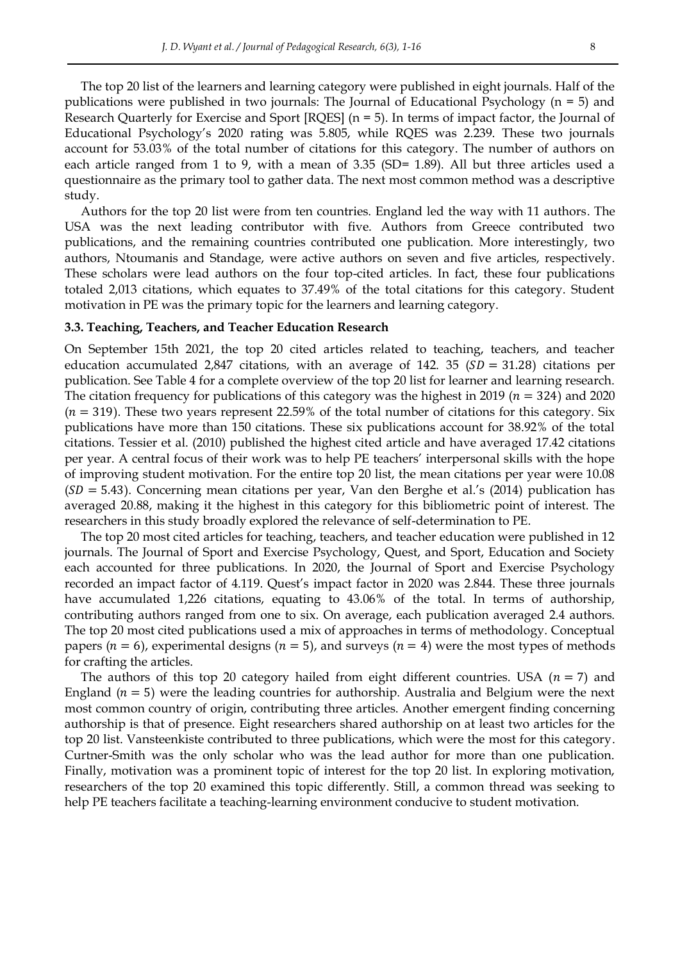The top 20 list of the learners and learning category were published in eight journals. Half of the publications were published in two journals: The Journal of Educational Psychology  $(n = 5)$  and Research Quarterly for Exercise and Sport [RQES] (n = 5). In terms of impact factor, the Journal of Educational Psychology's 2020 rating was 5.805, while RQES was 2.239. These two journals account for 53.03% of the total number of citations for this category. The number of authors on each article ranged from 1 to 9, with a mean of 3.35 (SD= 1.89). All but three articles used a questionnaire as the primary tool to gather data. The next most common method was a descriptive study.

Authors for the top 20 list were from ten countries. England led the way with 11 authors. The USA was the next leading contributor with five. Authors from Greece contributed two publications, and the remaining countries contributed one publication. More interestingly, two authors, Ntoumanis and Standage, were active authors on seven and five articles, respectively. These scholars were lead authors on the four top-cited articles. In fact, these four publications totaled 2,013 citations, which equates to 37.49% of the total citations for this category. Student motivation in PE was the primary topic for the learners and learning category.

#### **3.3. Teaching, Teachers, and Teacher Education Research**

On September 15th 2021, the top 20 cited articles related to teaching, teachers, and teacher education accumulated 2,847 citations, with an average of 142. 35 ( $SD = 31.28$ ) citations per publication. See Table 4 for a complete overview of the top 20 list for learner and learning research. The citation frequency for publications of this category was the highest in 2019 ( $n = 324$ ) and 2020  $(n = 319)$ . These two years represent 22.59% of the total number of citations for this category. Six publications have more than 150 citations. These six publications account for 38.92% of the total citations. Tessier et al. (2010) published the highest cited article and have averaged 17.42 citations per year. A central focus of their work was to help PE teachers' interpersonal skills with the hope of improving student motivation. For the entire top 20 list, the mean citations per year were 10.08  $(SD = 5.43)$ . Concerning mean citations per year, Van den Berghe et al.'s (2014) publication has averaged 20.88, making it the highest in this category for this bibliometric point of interest. The researchers in this study broadly explored the relevance of self-determination to PE.

The top 20 most cited articles for teaching, teachers, and teacher education were published in 12 journals. The Journal of Sport and Exercise Psychology, Quest, and Sport, Education and Society each accounted for three publications. In 2020, the Journal of Sport and Exercise Psychology recorded an impact factor of 4.119. Quest's impact factor in 2020 was 2.844. These three journals have accumulated 1,226 citations, equating to 43.06% of the total. In terms of authorship, contributing authors ranged from one to six. On average, each publication averaged 2.4 authors. The top 20 most cited publications used a mix of approaches in terms of methodology. Conceptual papers ( $n = 6$ ), experimental designs ( $n = 5$ ), and surveys ( $n = 4$ ) were the most types of methods for crafting the articles.

The authors of this top 20 category hailed from eight different countries. USA  $(n = 7)$  and England ( $n = 5$ ) were the leading countries for authorship. Australia and Belgium were the next most common country of origin, contributing three articles. Another emergent finding concerning authorship is that of presence. Eight researchers shared authorship on at least two articles for the top 20 list. Vansteenkiste contributed to three publications, which were the most for this category. Curtner-Smith was the only scholar who was the lead author for more than one publication. Finally, motivation was a prominent topic of interest for the top 20 list. In exploring motivation, researchers of the top 20 examined this topic differently. Still, a common thread was seeking to help PE teachers facilitate a teaching-learning environment conducive to student motivation.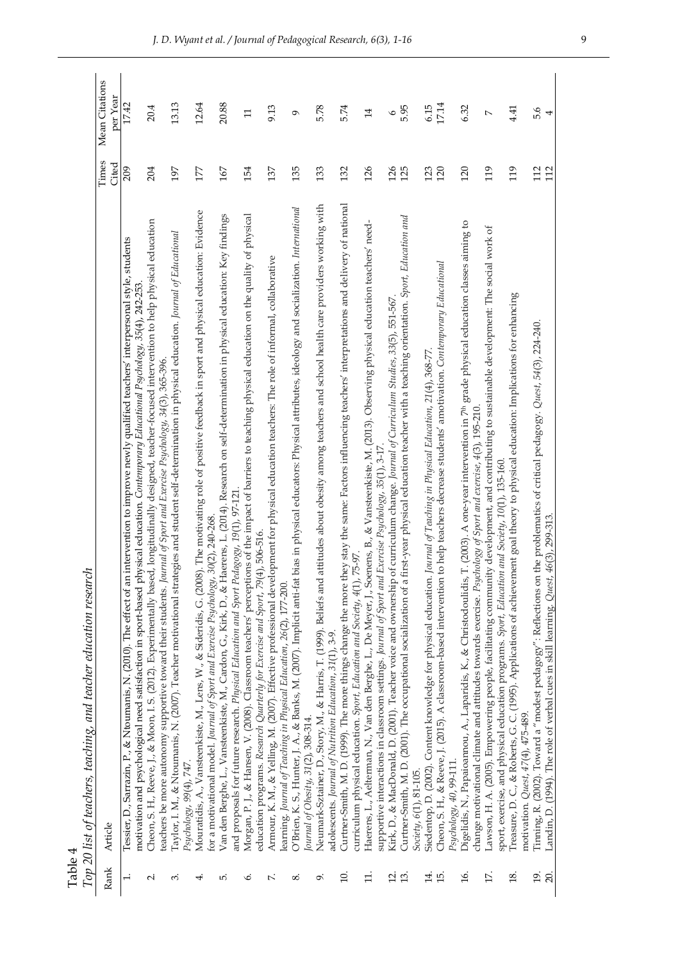| Ton 20 list of teachers, teaching, and teacher education rese |         |  |
|---------------------------------------------------------------|---------|--|
|                                                               |         |  |
|                                                               | Table 4 |  |

|                       | Top 20 list of teachers, teaching, and teacher education research                                                                                                                                                                                                                               |            |                 |
|-----------------------|-------------------------------------------------------------------------------------------------------------------------------------------------------------------------------------------------------------------------------------------------------------------------------------------------|------------|-----------------|
| Rank                  | Article                                                                                                                                                                                                                                                                                         | Times      | Mean Citations  |
|                       |                                                                                                                                                                                                                                                                                                 | Cited      | per Year        |
|                       | intervention to improve newly qualified teachers' interpersonal style, students<br>motivation and psychological need satisfaction in sport-based physical education. Contemporary Educational Psychology, 35(4), 242-253<br>Tessier, D., Sarrazin, P., & Ntoumanis, N. (2010). The effect of an | 209        | 17.42           |
| $\mathbf{u}$          | Cheon, S. H., Reeve, J., & Moon, I. S. (2012). Experimentally based, longitudinally designed, teacher-focused intervention to help physical education<br>teachers be more autonomy supportive toward their students. Journal of Sport and Exercise Psychology, 34(3), 365-396.                  | 204        | 20.4            |
| 3                     | Taylor, I. M., & Ntoumanis, N. (2007). Teacher motivational strategies and student self-determination in physical education. Journal of Educational<br>Psychology, 99(4), 747.                                                                                                                  | 197        | 13.13           |
| ⇥                     | Mouratidis, A., Vansteenkiste, M., Lens, W., & Sideridis, G. (2008). The motivating role of positive feedback in sport and physical education: Evidence                                                                                                                                         | 177        | 12.64           |
|                       | for a motivational model. Journal of Sport and Exercise Psychology, 30(2), 240-268                                                                                                                                                                                                              |            |                 |
| ம்                    | Van den Berghe, L., Vansteenkiste, M., Cardon, G., Kirk, D., & Haerens, L. (2014). Research on self-determination in physical education: Key findings<br>and proposals for future research. Physical Education and Sport Pedagogy, 19(1), 97-121                                                | 167        | 20.88           |
| Ö                     | Morgan, P. J., & Hansen, V. (2008). Classroom teachers' perceptions of the impact of barriers to teaching physical education on the quality of physical                                                                                                                                         | 154        | $\Box$          |
| $\mathbf{r}$          | Armour, K. M., & Yelling, M. (2007). Effective professional development for physical education teachers: The role of informal, collaborative<br>education programs. Research Quarterly for Exercise and Sport, 79(4), 506-516.                                                                  | 137        | 9.13            |
|                       | learning. Journal of Teaching in Physical Education, 26(2), 177-200.                                                                                                                                                                                                                            |            |                 |
| $\infty$              | bias in physical educators: Physical attributes, ideology and socialization. International<br>O'Brien, K. S., Hunter, J. A., & Banks, M. (2007). Implicit anti-fat                                                                                                                              | 135        | $\sigma$        |
|                       | Journal of Obesity, 31(2), 308-314.                                                                                                                                                                                                                                                             |            |                 |
| Ö                     | Neumark-Sztainer, D., Story, M., & Harris, T. (1999). Beliefs and attitudes about obesity among teachers and school health care providers working with                                                                                                                                          | 133        | 5.78            |
| $\Xi$                 | adolescents. Journal of Nutrition Education, 31(1), 3-9.                                                                                                                                                                                                                                        | 132        | 5.74            |
|                       | Curtner-Smith, M. D. (1999). The more things change the more they stay the same: Factors influencing teachers' interpretations and delivery of national<br>75-97.<br>curriculum physical education. Sport, Education and Society, 4(1), I                                                       |            |                 |
| H.                    | Haerens, L., Aelterman, N., Van den Berghe, L., De Meyer, J., Soenens, B., & Vansteenkiste, M. (2013). Observing physical education teachers' need-                                                                                                                                             | 126        | $\overline{14}$ |
|                       | supportive interactions in classroom settings. Journal of Sport and Exercise Psychology, 35(1), 3-17.                                                                                                                                                                                           |            |                 |
| Ч.                    | Kirk, D., & MacDonald, D. (2001). Teacher voice and ownership of curriculum change. Journal of Curriculum Studies, 33(5), 551-567                                                                                                                                                               | 126        | $\circ$         |
| 13.                   | Curtner-Smith, M. D. (2001). The occupational socialization of a first-year physical education teacher with a teaching orientation. Sport, Education and<br>Society, 6(1), 81-105.                                                                                                              | 125        | 5.95            |
| 4.                    | Journal of Teaching in Physical Education, 21(4), 368-77.<br>Siedentop, D. (2002). Content knowledge for physical education.                                                                                                                                                                    | 123        | 6.15            |
| $\overline{15}$ .     | to help teachers decrease students' amotivation. Contemporary Educational<br>Cheon, S. H., & Reeve, J. (2015). A classroom-based intervention                                                                                                                                                   | 120        | 17.14           |
| 16.                   | Digelidis, N., Papaioannou, A., Laparidis, K., & Christodoulidis, T. (2003). A one-year intervention in 7 <sup>th</sup> grade physical education classes aiming to<br>Psychology, 40, 99-111.                                                                                                   | 120        | 6.32            |
|                       | change motivational climate and attitudes towards exercise. Psychology of Sport and exercise, 4(3), 195-210                                                                                                                                                                                     |            |                 |
| 17.                   | Lawson, H. A. (2005). Empowering people, facilitating community development, and contributing to sustainable development: The social work of                                                                                                                                                    | 119        | $\sim$          |
|                       | sport, exercise, and physical education programs. Sport, Education and Society, 10(1), 135-160                                                                                                                                                                                                  | 119        |                 |
| $\overline{18}$ .     | nent goal theory to physical education: Implications for enhancing<br>Treasure, D. C., & Roberts, G. C. (1995). Applications of achievem<br>motivation. Quest, 47(4), 475-489.                                                                                                                  |            | 4.41            |
| $\overline{5}$<br>20. | Tinning, R. (2002). Toward a "modest pedagogy": Reflections on the problematics of critical pedagogy. Quest, 54(3), 224-240.<br>Landin, D. (1994). The role of verbal cues in skill learning. Quest, 46(3), 299-313.                                                                            | 112<br>112 | 5.6<br>4        |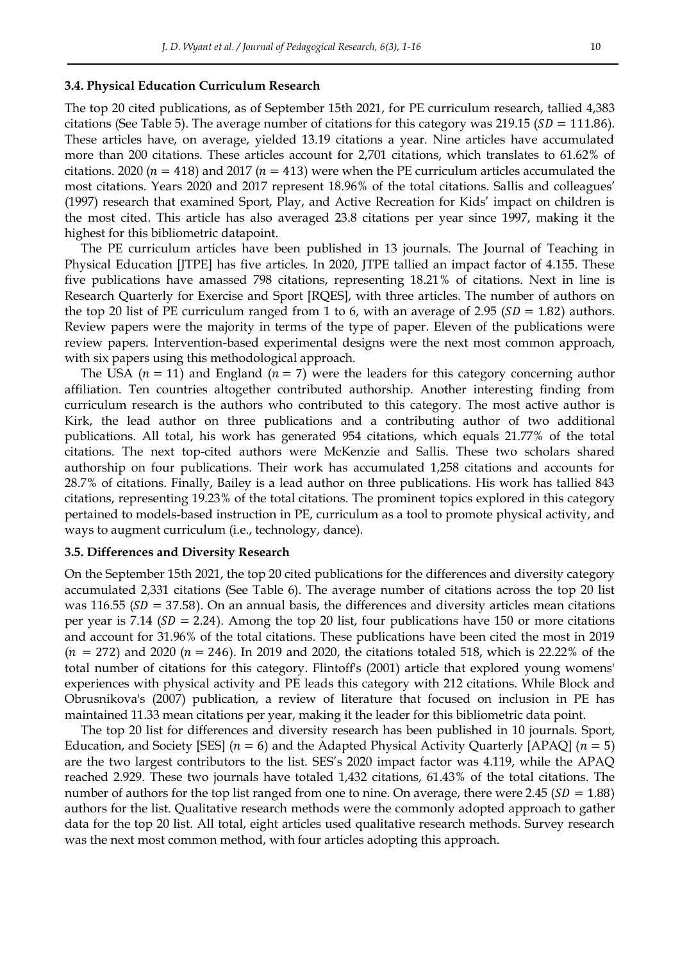#### **3.4. Physical Education Curriculum Research**

The top 20 cited publications, as of September 15th 2021, for PE curriculum research, tallied 4,383 citations (See Table 5). The average number of citations for this category was 219.15 ( $SD = 111.86$ ). These articles have, on average, yielded 13.19 citations a year. Nine articles have accumulated more than 200 citations. These articles account for 2,701 citations, which translates to 61.62% of citations. 2020 ( $n = 418$ ) and 2017 ( $n = 413$ ) were when the PE curriculum articles accumulated the most citations. Years 2020 and 2017 represent 18.96% of the total citations. Sallis and colleagues' (1997) research that examined Sport, Play, and Active Recreation for Kids' impact on children is the most cited. This article has also averaged 23.8 citations per year since 1997, making it the highest for this bibliometric datapoint.

The PE curriculum articles have been published in 13 journals. The Journal of Teaching in Physical Education [JTPE] has five articles. In 2020, JTPE tallied an impact factor of 4.155. These five publications have amassed 798 citations, representing 18.21% of citations. Next in line is Research Quarterly for Exercise and Sport [RQES], with three articles. The number of authors on the top 20 list of PE curriculum ranged from 1 to 6, with an average of 2.95 ( $SD = 1.82$ ) authors. Review papers were the majority in terms of the type of paper. Eleven of the publications were review papers. Intervention-based experimental designs were the next most common approach, with six papers using this methodological approach.

The USA  $(n = 11)$  and England  $(n = 7)$  were the leaders for this category concerning author affiliation. Ten countries altogether contributed authorship. Another interesting finding from curriculum research is the authors who contributed to this category. The most active author is Kirk, the lead author on three publications and a contributing author of two additional publications. All total, his work has generated 954 citations, which equals 21.77% of the total citations. The next top-cited authors were McKenzie and Sallis. These two scholars shared authorship on four publications. Their work has accumulated 1,258 citations and accounts for 28.7% of citations. Finally, Bailey is a lead author on three publications. His work has tallied 843 citations, representing 19.23% of the total citations. The prominent topics explored in this category pertained to models-based instruction in PE, curriculum as a tool to promote physical activity, and ways to augment curriculum (i.e., technology, dance).

# **3.5. Differences and Diversity Research**

On the September 15th 2021, the top 20 cited publications for the differences and diversity category accumulated 2,331 citations (See Table 6). The average number of citations across the top 20 list was 116.55 ( $SD = 37.58$ ). On an annual basis, the differences and diversity articles mean citations per year is 7.14 ( $SD = 2.24$ ). Among the top 20 list, four publications have 150 or more citations and account for 31.96% of the total citations. These publications have been cited the most in 2019  $(n = 272)$  and 2020  $(n = 246)$ . In 2019 and 2020, the citations totaled 518, which is 22.22% of the total number of citations for this category. Flintoff's (2001) article that explored young womens' experiences with physical activity and PE leads this category with 212 citations. While Block and Obrusnikova's (2007) publication, a review of literature that focused on inclusion in PE has maintained 11.33 mean citations per year, making it the leader for this bibliometric data point.

The top 20 list for differences and diversity research has been published in 10 journals. Sport, Education, and Society [SES] ( $n = 6$ ) and the Adapted Physical Activity Quarterly [APAQ] ( $n = 5$ ) are the two largest contributors to the list. SES's 2020 impact factor was 4.119, while the APAQ reached 2.929. These two journals have totaled 1,432 citations, 61.43% of the total citations. The number of authors for the top list ranged from one to nine. On average, there were 2.45 ( $SD = 1.88$ ) authors for the list. Qualitative research methods were the commonly adopted approach to gather data for the top 20 list. All total, eight articles used qualitative research methods. Survey research was the next most common method, with four articles adopting this approach.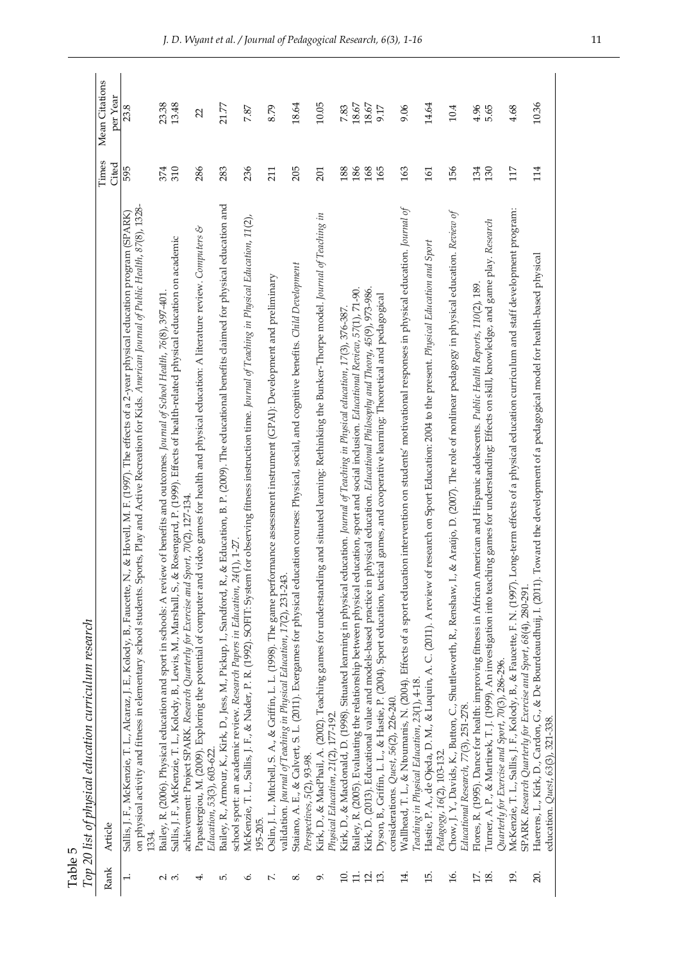| Table 5 | Top 20 list of physical education curriculum research |
|---------|-------------------------------------------------------|
| E       |                                                       |

| Mean Citations<br>per Year<br>10.36<br>23.38<br>13.48<br>18.64<br>10.05<br>14.64<br>$18.67$<br>$18.67$<br>21.77<br>8.79<br>7.83<br>9.06<br>4.96<br>4.68<br>23.8<br>9.17<br>10.4<br>5.65<br>7.87<br>22<br>Times<br>Cited<br>595<br>310<br>286<br>236<br>186<br>114<br>374<br>283<br>205<br>168<br>165<br>163<br>156<br>134<br>130<br>117<br>188<br>211<br>201<br>161<br>Bailey, R., Armour, K., Kirk, D., Jess, M., Pickup, I., Sandford, R., & Education, B. P. (2009). The educational benefits claimed for physical education and<br>on physical activity and fitness in elementary school students. Sports, Play and Active Recreation for Kids. American Journal of Public Health, 87(8), 1328-<br>Wallhead, T. L., & Ntoumanis, N. (2004). Effects of a sport education intervention on students' motivational responses in physical education. Journal of<br>McKenzie, T. L., Sallis, J. F., Kolody, B., & Faucette, F. N. (1997). Long-term effects of a physical education curriculum and staff development program:<br>Chow, J. Y., Davids, K., Button, C., Shuttleworth, R., Renshaw, I., & Aradjo, D. (2007). The role of nonlinear pedagogy in physical education. Review of<br>& Hovell, M. F. (1997). The effects of a 2-year physical education program (SPARK)<br>Kirk, D., & MacPhail, A. (2002). Teaching games for understanding and situated learning: Rethinking the Bunker-Thorpe model. Journal of Teaching in<br>McKenzie, T. L., Sallis, J. F., & Nader, P. R. (1992). SOFIT: System for observing fitness instruction time. Journal of Teaching in Physical Education, 11(2),<br>Turner, A. P., & Martinek, T. J. (1999). An investigation into teaching games for understanding: Effects on skill, knowledge, and game play. Research<br>z<br>Papastergiou, M. (2009). Exploring the potential of computer and video games for health and physical education: A literature review. Computers<br>Sallis, J. F., McKenzie, T. L., Kolody, B., Lewis, M., Marshall, S., & Rosengard, P. (1999). Effects of health-related physical education on academic<br>research on Sport Education: 2004 to the present. Physical Education and Sport<br>Haerens, L., Kirk, D., Cardon, G., & De Bourdeaudhuij, I. (2011). Toward the development of a pedagogical model for health-based physical<br>Staiano, A. E., & Calvert, S. L. (2011). Exergames for physical education courses: Physical, social, and cognitive benefits. Child Development<br>Oslin, J. L., Mitchell, S. A., & Griffin, L. L. (1998). The game performance assessment instrument (GPAI): Development and preliminary<br>Flores, R. (1995). Dance for health: improving fitness in African American and Hispanic adolescents. Public Health Reports, 110(2), 189.<br>Kirk, D. (2013). Educational value and models-based practice in physical education. Educational Philosophy and Theory, 45(9), 973-986.<br>Bailey, R. (2005). Evaluating the relationship between physical education, sport and social inclusion. Educational Review, 57(1), 71-90.<br>Bailey, R. (2006). Physical education and sport in schools: A review of benefits and outcomes. Journal of School Health, 76(8), 397-401.<br>Dyson, B., Griffin, L., L., & Hastie, P. (2004). Sport education, tactical games, and cooperative learning: Theoretical and pedagogical<br>Kirk, D., & Macdonald, D. (1998). Situated learning in physical education. Journal of Teaching in Physical education, 17(3), 376-387.<br>achievement: Project SPARK. Research Quarterly for Exercise and Sport, 70(2), 127-134<br>school sport: an academic review. Research Papers in Education, 24(1), 1-27.<br>Sallis, J. F., McKenzie, T. L., Alcaraz, J. E., Kolody, B., Faucette, N.,<br>Hastie, P. A., de Ojeda, D. M., & Luquin, A. C. (2011). A review of<br>validation. Journal of Teaching in Physical Education, 17(2), 231-243.<br>SPARK. Research Quarterly for Exercise and Sport, 68(4), 280-291.<br>Quarterly for Exercise and Sport, 70(3), 286-296.<br>Teaching in Physical Education, 23(1), 4-18.<br>considerations. Quest, 56(2), 226-240.<br>Educational Research, 77(3), 251-278.<br>Physical Education, 21(2), 177-192.<br>education. Quest, 63(3), 321-338.<br>Education, 53(3), 603-622.<br>Pedagogy, 16(2), 103-132.<br>Perspectives, 5(2), 93-98.<br>195-205<br>Article<br>Rank<br>17.<br>14.<br>20.<br>$\overline{1}$ .<br>15.<br>16.<br>19.<br>$\overline{10}$ .<br>18.<br><u>다</u><br>$\mathbf{r}$<br>$\mathfrak{L}$<br>$\sim$<br>4.<br>Ġ.<br>ξ.<br>o.<br>∞ | Table 5 | Top 20 list of physical education curriculum research |  |
|-------------------------------------------------------------------------------------------------------------------------------------------------------------------------------------------------------------------------------------------------------------------------------------------------------------------------------------------------------------------------------------------------------------------------------------------------------------------------------------------------------------------------------------------------------------------------------------------------------------------------------------------------------------------------------------------------------------------------------------------------------------------------------------------------------------------------------------------------------------------------------------------------------------------------------------------------------------------------------------------------------------------------------------------------------------------------------------------------------------------------------------------------------------------------------------------------------------------------------------------------------------------------------------------------------------------------------------------------------------------------------------------------------------------------------------------------------------------------------------------------------------------------------------------------------------------------------------------------------------------------------------------------------------------------------------------------------------------------------------------------------------------------------------------------------------------------------------------------------------------------------------------------------------------------------------------------------------------------------------------------------------------------------------------------------------------------------------------------------------------------------------------------------------------------------------------------------------------------------------------------------------------------------------------------------------------------------------------------------------------------------------------------------------------------------------------------------------------------------------------------------------------------------------------------------------------------------------------------------------------------------------------------------------------------------------------------------------------------------------------------------------------------------------------------------------------------------------------------------------------------------------------------------------------------------------------------------------------------------------------------------------------------------------------------------------------------------------------------------------------------------------------------------------------------------------------------------------------------------------------------------------------------------------------------------------------------------------------------------------------------------------------------------------------------------------------------------------------------------------------------------------------------------------------------------------------------------------------------------------------------------------------------------------------------------------------------------------------------------------------------------------------------------------------------------------------------------------------------------------------------------------------------------------------------------------------------------------------------------------------------------------------------------------------------------------------------------------------------------------------------------------------------------------------------------------------------------------------------------------------------------------------------------------------------------------------------------------------------------------------------------------------------------------------------------------------------------------------------------------------------------------------------------------|---------|-------------------------------------------------------|--|
|                                                                                                                                                                                                                                                                                                                                                                                                                                                                                                                                                                                                                                                                                                                                                                                                                                                                                                                                                                                                                                                                                                                                                                                                                                                                                                                                                                                                                                                                                                                                                                                                                                                                                                                                                                                                                                                                                                                                                                                                                                                                                                                                                                                                                                                                                                                                                                                                                                                                                                                                                                                                                                                                                                                                                                                                                                                                                                                                                                                                                                                                                                                                                                                                                                                                                                                                                                                                                                                                                                                                                                                                                                                                                                                                                                                                                                                                                                                                                                                                                                                                                                                                                                                                                                                                                                                                                                                                                                                                                                                                     |         |                                                       |  |
|                                                                                                                                                                                                                                                                                                                                                                                                                                                                                                                                                                                                                                                                                                                                                                                                                                                                                                                                                                                                                                                                                                                                                                                                                                                                                                                                                                                                                                                                                                                                                                                                                                                                                                                                                                                                                                                                                                                                                                                                                                                                                                                                                                                                                                                                                                                                                                                                                                                                                                                                                                                                                                                                                                                                                                                                                                                                                                                                                                                                                                                                                                                                                                                                                                                                                                                                                                                                                                                                                                                                                                                                                                                                                                                                                                                                                                                                                                                                                                                                                                                                                                                                                                                                                                                                                                                                                                                                                                                                                                                                     |         |                                                       |  |
|                                                                                                                                                                                                                                                                                                                                                                                                                                                                                                                                                                                                                                                                                                                                                                                                                                                                                                                                                                                                                                                                                                                                                                                                                                                                                                                                                                                                                                                                                                                                                                                                                                                                                                                                                                                                                                                                                                                                                                                                                                                                                                                                                                                                                                                                                                                                                                                                                                                                                                                                                                                                                                                                                                                                                                                                                                                                                                                                                                                                                                                                                                                                                                                                                                                                                                                                                                                                                                                                                                                                                                                                                                                                                                                                                                                                                                                                                                                                                                                                                                                                                                                                                                                                                                                                                                                                                                                                                                                                                                                                     |         |                                                       |  |
|                                                                                                                                                                                                                                                                                                                                                                                                                                                                                                                                                                                                                                                                                                                                                                                                                                                                                                                                                                                                                                                                                                                                                                                                                                                                                                                                                                                                                                                                                                                                                                                                                                                                                                                                                                                                                                                                                                                                                                                                                                                                                                                                                                                                                                                                                                                                                                                                                                                                                                                                                                                                                                                                                                                                                                                                                                                                                                                                                                                                                                                                                                                                                                                                                                                                                                                                                                                                                                                                                                                                                                                                                                                                                                                                                                                                                                                                                                                                                                                                                                                                                                                                                                                                                                                                                                                                                                                                                                                                                                                                     |         |                                                       |  |
|                                                                                                                                                                                                                                                                                                                                                                                                                                                                                                                                                                                                                                                                                                                                                                                                                                                                                                                                                                                                                                                                                                                                                                                                                                                                                                                                                                                                                                                                                                                                                                                                                                                                                                                                                                                                                                                                                                                                                                                                                                                                                                                                                                                                                                                                                                                                                                                                                                                                                                                                                                                                                                                                                                                                                                                                                                                                                                                                                                                                                                                                                                                                                                                                                                                                                                                                                                                                                                                                                                                                                                                                                                                                                                                                                                                                                                                                                                                                                                                                                                                                                                                                                                                                                                                                                                                                                                                                                                                                                                                                     |         |                                                       |  |
|                                                                                                                                                                                                                                                                                                                                                                                                                                                                                                                                                                                                                                                                                                                                                                                                                                                                                                                                                                                                                                                                                                                                                                                                                                                                                                                                                                                                                                                                                                                                                                                                                                                                                                                                                                                                                                                                                                                                                                                                                                                                                                                                                                                                                                                                                                                                                                                                                                                                                                                                                                                                                                                                                                                                                                                                                                                                                                                                                                                                                                                                                                                                                                                                                                                                                                                                                                                                                                                                                                                                                                                                                                                                                                                                                                                                                                                                                                                                                                                                                                                                                                                                                                                                                                                                                                                                                                                                                                                                                                                                     |         |                                                       |  |
|                                                                                                                                                                                                                                                                                                                                                                                                                                                                                                                                                                                                                                                                                                                                                                                                                                                                                                                                                                                                                                                                                                                                                                                                                                                                                                                                                                                                                                                                                                                                                                                                                                                                                                                                                                                                                                                                                                                                                                                                                                                                                                                                                                                                                                                                                                                                                                                                                                                                                                                                                                                                                                                                                                                                                                                                                                                                                                                                                                                                                                                                                                                                                                                                                                                                                                                                                                                                                                                                                                                                                                                                                                                                                                                                                                                                                                                                                                                                                                                                                                                                                                                                                                                                                                                                                                                                                                                                                                                                                                                                     |         |                                                       |  |
|                                                                                                                                                                                                                                                                                                                                                                                                                                                                                                                                                                                                                                                                                                                                                                                                                                                                                                                                                                                                                                                                                                                                                                                                                                                                                                                                                                                                                                                                                                                                                                                                                                                                                                                                                                                                                                                                                                                                                                                                                                                                                                                                                                                                                                                                                                                                                                                                                                                                                                                                                                                                                                                                                                                                                                                                                                                                                                                                                                                                                                                                                                                                                                                                                                                                                                                                                                                                                                                                                                                                                                                                                                                                                                                                                                                                                                                                                                                                                                                                                                                                                                                                                                                                                                                                                                                                                                                                                                                                                                                                     |         |                                                       |  |
|                                                                                                                                                                                                                                                                                                                                                                                                                                                                                                                                                                                                                                                                                                                                                                                                                                                                                                                                                                                                                                                                                                                                                                                                                                                                                                                                                                                                                                                                                                                                                                                                                                                                                                                                                                                                                                                                                                                                                                                                                                                                                                                                                                                                                                                                                                                                                                                                                                                                                                                                                                                                                                                                                                                                                                                                                                                                                                                                                                                                                                                                                                                                                                                                                                                                                                                                                                                                                                                                                                                                                                                                                                                                                                                                                                                                                                                                                                                                                                                                                                                                                                                                                                                                                                                                                                                                                                                                                                                                                                                                     |         |                                                       |  |
|                                                                                                                                                                                                                                                                                                                                                                                                                                                                                                                                                                                                                                                                                                                                                                                                                                                                                                                                                                                                                                                                                                                                                                                                                                                                                                                                                                                                                                                                                                                                                                                                                                                                                                                                                                                                                                                                                                                                                                                                                                                                                                                                                                                                                                                                                                                                                                                                                                                                                                                                                                                                                                                                                                                                                                                                                                                                                                                                                                                                                                                                                                                                                                                                                                                                                                                                                                                                                                                                                                                                                                                                                                                                                                                                                                                                                                                                                                                                                                                                                                                                                                                                                                                                                                                                                                                                                                                                                                                                                                                                     |         |                                                       |  |
|                                                                                                                                                                                                                                                                                                                                                                                                                                                                                                                                                                                                                                                                                                                                                                                                                                                                                                                                                                                                                                                                                                                                                                                                                                                                                                                                                                                                                                                                                                                                                                                                                                                                                                                                                                                                                                                                                                                                                                                                                                                                                                                                                                                                                                                                                                                                                                                                                                                                                                                                                                                                                                                                                                                                                                                                                                                                                                                                                                                                                                                                                                                                                                                                                                                                                                                                                                                                                                                                                                                                                                                                                                                                                                                                                                                                                                                                                                                                                                                                                                                                                                                                                                                                                                                                                                                                                                                                                                                                                                                                     |         |                                                       |  |
|                                                                                                                                                                                                                                                                                                                                                                                                                                                                                                                                                                                                                                                                                                                                                                                                                                                                                                                                                                                                                                                                                                                                                                                                                                                                                                                                                                                                                                                                                                                                                                                                                                                                                                                                                                                                                                                                                                                                                                                                                                                                                                                                                                                                                                                                                                                                                                                                                                                                                                                                                                                                                                                                                                                                                                                                                                                                                                                                                                                                                                                                                                                                                                                                                                                                                                                                                                                                                                                                                                                                                                                                                                                                                                                                                                                                                                                                                                                                                                                                                                                                                                                                                                                                                                                                                                                                                                                                                                                                                                                                     |         |                                                       |  |
|                                                                                                                                                                                                                                                                                                                                                                                                                                                                                                                                                                                                                                                                                                                                                                                                                                                                                                                                                                                                                                                                                                                                                                                                                                                                                                                                                                                                                                                                                                                                                                                                                                                                                                                                                                                                                                                                                                                                                                                                                                                                                                                                                                                                                                                                                                                                                                                                                                                                                                                                                                                                                                                                                                                                                                                                                                                                                                                                                                                                                                                                                                                                                                                                                                                                                                                                                                                                                                                                                                                                                                                                                                                                                                                                                                                                                                                                                                                                                                                                                                                                                                                                                                                                                                                                                                                                                                                                                                                                                                                                     |         |                                                       |  |
|                                                                                                                                                                                                                                                                                                                                                                                                                                                                                                                                                                                                                                                                                                                                                                                                                                                                                                                                                                                                                                                                                                                                                                                                                                                                                                                                                                                                                                                                                                                                                                                                                                                                                                                                                                                                                                                                                                                                                                                                                                                                                                                                                                                                                                                                                                                                                                                                                                                                                                                                                                                                                                                                                                                                                                                                                                                                                                                                                                                                                                                                                                                                                                                                                                                                                                                                                                                                                                                                                                                                                                                                                                                                                                                                                                                                                                                                                                                                                                                                                                                                                                                                                                                                                                                                                                                                                                                                                                                                                                                                     |         |                                                       |  |
|                                                                                                                                                                                                                                                                                                                                                                                                                                                                                                                                                                                                                                                                                                                                                                                                                                                                                                                                                                                                                                                                                                                                                                                                                                                                                                                                                                                                                                                                                                                                                                                                                                                                                                                                                                                                                                                                                                                                                                                                                                                                                                                                                                                                                                                                                                                                                                                                                                                                                                                                                                                                                                                                                                                                                                                                                                                                                                                                                                                                                                                                                                                                                                                                                                                                                                                                                                                                                                                                                                                                                                                                                                                                                                                                                                                                                                                                                                                                                                                                                                                                                                                                                                                                                                                                                                                                                                                                                                                                                                                                     |         |                                                       |  |
|                                                                                                                                                                                                                                                                                                                                                                                                                                                                                                                                                                                                                                                                                                                                                                                                                                                                                                                                                                                                                                                                                                                                                                                                                                                                                                                                                                                                                                                                                                                                                                                                                                                                                                                                                                                                                                                                                                                                                                                                                                                                                                                                                                                                                                                                                                                                                                                                                                                                                                                                                                                                                                                                                                                                                                                                                                                                                                                                                                                                                                                                                                                                                                                                                                                                                                                                                                                                                                                                                                                                                                                                                                                                                                                                                                                                                                                                                                                                                                                                                                                                                                                                                                                                                                                                                                                                                                                                                                                                                                                                     |         |                                                       |  |
|                                                                                                                                                                                                                                                                                                                                                                                                                                                                                                                                                                                                                                                                                                                                                                                                                                                                                                                                                                                                                                                                                                                                                                                                                                                                                                                                                                                                                                                                                                                                                                                                                                                                                                                                                                                                                                                                                                                                                                                                                                                                                                                                                                                                                                                                                                                                                                                                                                                                                                                                                                                                                                                                                                                                                                                                                                                                                                                                                                                                                                                                                                                                                                                                                                                                                                                                                                                                                                                                                                                                                                                                                                                                                                                                                                                                                                                                                                                                                                                                                                                                                                                                                                                                                                                                                                                                                                                                                                                                                                                                     |         |                                                       |  |
|                                                                                                                                                                                                                                                                                                                                                                                                                                                                                                                                                                                                                                                                                                                                                                                                                                                                                                                                                                                                                                                                                                                                                                                                                                                                                                                                                                                                                                                                                                                                                                                                                                                                                                                                                                                                                                                                                                                                                                                                                                                                                                                                                                                                                                                                                                                                                                                                                                                                                                                                                                                                                                                                                                                                                                                                                                                                                                                                                                                                                                                                                                                                                                                                                                                                                                                                                                                                                                                                                                                                                                                                                                                                                                                                                                                                                                                                                                                                                                                                                                                                                                                                                                                                                                                                                                                                                                                                                                                                                                                                     |         |                                                       |  |
|                                                                                                                                                                                                                                                                                                                                                                                                                                                                                                                                                                                                                                                                                                                                                                                                                                                                                                                                                                                                                                                                                                                                                                                                                                                                                                                                                                                                                                                                                                                                                                                                                                                                                                                                                                                                                                                                                                                                                                                                                                                                                                                                                                                                                                                                                                                                                                                                                                                                                                                                                                                                                                                                                                                                                                                                                                                                                                                                                                                                                                                                                                                                                                                                                                                                                                                                                                                                                                                                                                                                                                                                                                                                                                                                                                                                                                                                                                                                                                                                                                                                                                                                                                                                                                                                                                                                                                                                                                                                                                                                     |         |                                                       |  |
|                                                                                                                                                                                                                                                                                                                                                                                                                                                                                                                                                                                                                                                                                                                                                                                                                                                                                                                                                                                                                                                                                                                                                                                                                                                                                                                                                                                                                                                                                                                                                                                                                                                                                                                                                                                                                                                                                                                                                                                                                                                                                                                                                                                                                                                                                                                                                                                                                                                                                                                                                                                                                                                                                                                                                                                                                                                                                                                                                                                                                                                                                                                                                                                                                                                                                                                                                                                                                                                                                                                                                                                                                                                                                                                                                                                                                                                                                                                                                                                                                                                                                                                                                                                                                                                                                                                                                                                                                                                                                                                                     |         |                                                       |  |
|                                                                                                                                                                                                                                                                                                                                                                                                                                                                                                                                                                                                                                                                                                                                                                                                                                                                                                                                                                                                                                                                                                                                                                                                                                                                                                                                                                                                                                                                                                                                                                                                                                                                                                                                                                                                                                                                                                                                                                                                                                                                                                                                                                                                                                                                                                                                                                                                                                                                                                                                                                                                                                                                                                                                                                                                                                                                                                                                                                                                                                                                                                                                                                                                                                                                                                                                                                                                                                                                                                                                                                                                                                                                                                                                                                                                                                                                                                                                                                                                                                                                                                                                                                                                                                                                                                                                                                                                                                                                                                                                     |         |                                                       |  |
|                                                                                                                                                                                                                                                                                                                                                                                                                                                                                                                                                                                                                                                                                                                                                                                                                                                                                                                                                                                                                                                                                                                                                                                                                                                                                                                                                                                                                                                                                                                                                                                                                                                                                                                                                                                                                                                                                                                                                                                                                                                                                                                                                                                                                                                                                                                                                                                                                                                                                                                                                                                                                                                                                                                                                                                                                                                                                                                                                                                                                                                                                                                                                                                                                                                                                                                                                                                                                                                                                                                                                                                                                                                                                                                                                                                                                                                                                                                                                                                                                                                                                                                                                                                                                                                                                                                                                                                                                                                                                                                                     |         |                                                       |  |
|                                                                                                                                                                                                                                                                                                                                                                                                                                                                                                                                                                                                                                                                                                                                                                                                                                                                                                                                                                                                                                                                                                                                                                                                                                                                                                                                                                                                                                                                                                                                                                                                                                                                                                                                                                                                                                                                                                                                                                                                                                                                                                                                                                                                                                                                                                                                                                                                                                                                                                                                                                                                                                                                                                                                                                                                                                                                                                                                                                                                                                                                                                                                                                                                                                                                                                                                                                                                                                                                                                                                                                                                                                                                                                                                                                                                                                                                                                                                                                                                                                                                                                                                                                                                                                                                                                                                                                                                                                                                                                                                     |         |                                                       |  |
|                                                                                                                                                                                                                                                                                                                                                                                                                                                                                                                                                                                                                                                                                                                                                                                                                                                                                                                                                                                                                                                                                                                                                                                                                                                                                                                                                                                                                                                                                                                                                                                                                                                                                                                                                                                                                                                                                                                                                                                                                                                                                                                                                                                                                                                                                                                                                                                                                                                                                                                                                                                                                                                                                                                                                                                                                                                                                                                                                                                                                                                                                                                                                                                                                                                                                                                                                                                                                                                                                                                                                                                                                                                                                                                                                                                                                                                                                                                                                                                                                                                                                                                                                                                                                                                                                                                                                                                                                                                                                                                                     |         |                                                       |  |
|                                                                                                                                                                                                                                                                                                                                                                                                                                                                                                                                                                                                                                                                                                                                                                                                                                                                                                                                                                                                                                                                                                                                                                                                                                                                                                                                                                                                                                                                                                                                                                                                                                                                                                                                                                                                                                                                                                                                                                                                                                                                                                                                                                                                                                                                                                                                                                                                                                                                                                                                                                                                                                                                                                                                                                                                                                                                                                                                                                                                                                                                                                                                                                                                                                                                                                                                                                                                                                                                                                                                                                                                                                                                                                                                                                                                                                                                                                                                                                                                                                                                                                                                                                                                                                                                                                                                                                                                                                                                                                                                     |         |                                                       |  |
|                                                                                                                                                                                                                                                                                                                                                                                                                                                                                                                                                                                                                                                                                                                                                                                                                                                                                                                                                                                                                                                                                                                                                                                                                                                                                                                                                                                                                                                                                                                                                                                                                                                                                                                                                                                                                                                                                                                                                                                                                                                                                                                                                                                                                                                                                                                                                                                                                                                                                                                                                                                                                                                                                                                                                                                                                                                                                                                                                                                                                                                                                                                                                                                                                                                                                                                                                                                                                                                                                                                                                                                                                                                                                                                                                                                                                                                                                                                                                                                                                                                                                                                                                                                                                                                                                                                                                                                                                                                                                                                                     |         |                                                       |  |
|                                                                                                                                                                                                                                                                                                                                                                                                                                                                                                                                                                                                                                                                                                                                                                                                                                                                                                                                                                                                                                                                                                                                                                                                                                                                                                                                                                                                                                                                                                                                                                                                                                                                                                                                                                                                                                                                                                                                                                                                                                                                                                                                                                                                                                                                                                                                                                                                                                                                                                                                                                                                                                                                                                                                                                                                                                                                                                                                                                                                                                                                                                                                                                                                                                                                                                                                                                                                                                                                                                                                                                                                                                                                                                                                                                                                                                                                                                                                                                                                                                                                                                                                                                                                                                                                                                                                                                                                                                                                                                                                     |         |                                                       |  |
|                                                                                                                                                                                                                                                                                                                                                                                                                                                                                                                                                                                                                                                                                                                                                                                                                                                                                                                                                                                                                                                                                                                                                                                                                                                                                                                                                                                                                                                                                                                                                                                                                                                                                                                                                                                                                                                                                                                                                                                                                                                                                                                                                                                                                                                                                                                                                                                                                                                                                                                                                                                                                                                                                                                                                                                                                                                                                                                                                                                                                                                                                                                                                                                                                                                                                                                                                                                                                                                                                                                                                                                                                                                                                                                                                                                                                                                                                                                                                                                                                                                                                                                                                                                                                                                                                                                                                                                                                                                                                                                                     |         |                                                       |  |
|                                                                                                                                                                                                                                                                                                                                                                                                                                                                                                                                                                                                                                                                                                                                                                                                                                                                                                                                                                                                                                                                                                                                                                                                                                                                                                                                                                                                                                                                                                                                                                                                                                                                                                                                                                                                                                                                                                                                                                                                                                                                                                                                                                                                                                                                                                                                                                                                                                                                                                                                                                                                                                                                                                                                                                                                                                                                                                                                                                                                                                                                                                                                                                                                                                                                                                                                                                                                                                                                                                                                                                                                                                                                                                                                                                                                                                                                                                                                                                                                                                                                                                                                                                                                                                                                                                                                                                                                                                                                                                                                     |         |                                                       |  |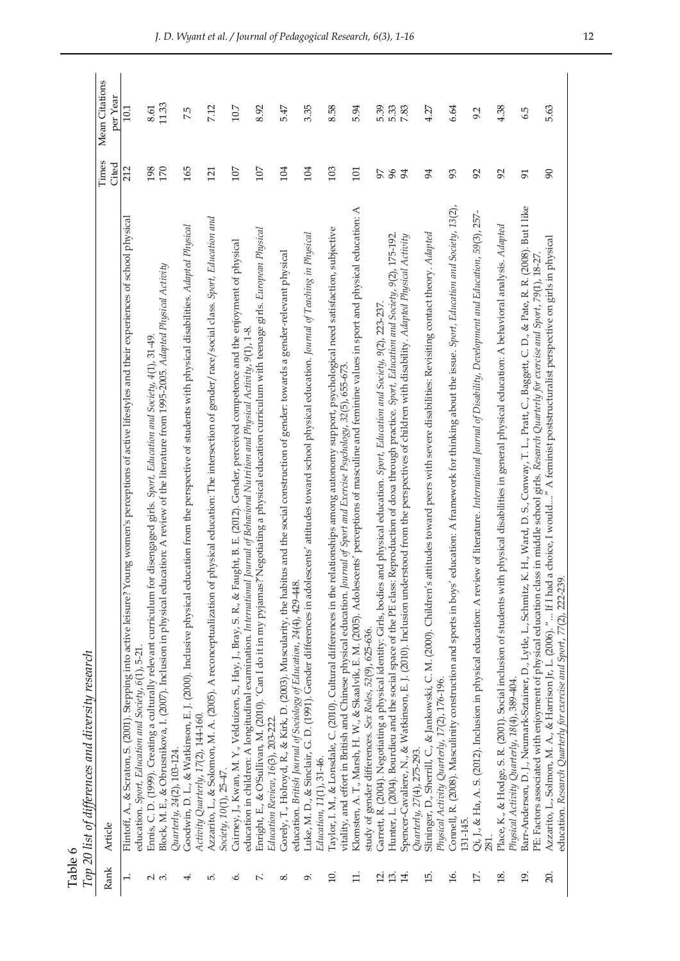|            | differences and diversity research |
|------------|------------------------------------|
| $l$ able ( | Top 20 list of d                   |

|                   | Top 20 list of differences and diversity research                                                                                                                                                                                                                                                          |                 |                            |
|-------------------|------------------------------------------------------------------------------------------------------------------------------------------------------------------------------------------------------------------------------------------------------------------------------------------------------------|-----------------|----------------------------|
| Rank              | Article                                                                                                                                                                                                                                                                                                    | l'imes<br>Cited | Mean Citations<br>per Year |
| $\ddot{ }$        | Flintoff, A., & Scraton, S. (2001). Stepping into active leisure? Young women's perceptions of active lifestyles and their experiences of school physical                                                                                                                                                  | 212             | 10.1                       |
|                   | education. Sport, Education and Society, 6(1), 5-21.                                                                                                                                                                                                                                                       |                 |                            |
| റി ന്             | Ennis, C. D. (1999). Creating a culturally relevant curriculum for disengaged girls. Sport, Education and Society, 4(1), 31-49.                                                                                                                                                                            | 198             | 8.61                       |
|                   | Block, M. E., & Obrusnikova, I. (2007). Inclusion in physical education: A review of the literature from 1995-2005. Adapted Physical Activity                                                                                                                                                              | 170             | 11.33                      |
|                   | Quarterly, 24(2), 103-124.                                                                                                                                                                                                                                                                                 |                 |                            |
| 4                 | Goodwin, D. L., & Watkinson, E. J. (2000). Inclusive physical education from the perspective of students with physical disabilities. Adapted Physical                                                                                                                                                      | 165             | 7.5                        |
|                   | Activity Quarterly, 17(2), 144-160.                                                                                                                                                                                                                                                                        |                 |                            |
| ட்                | physical education: The intersection of gender/race/social class. Sport, Education and<br>Azzarito, L., & Solomon, M. A. (2005). A reconceptualization of<br>Society, 10(1), 25-47.                                                                                                                        | 121             | 7.12                       |
|                   |                                                                                                                                                                                                                                                                                                            |                 |                            |
| ی                 | Cairney, J., Kwan, M. Y., Velduizen, S., Hay, J., Bray, S. R., & Faught, B. E. (2012). Gender, perceived competence and the enjoyment of physical<br>Journal of Behavioral Nutrition and Physical Activity, 9(1), 1-8.<br>education in children: A longitudinal examination. International                 | 107             | 10.7                       |
| Γ.                | Negotiating a physical education curriculum with teenage girls. European Physical<br>Enright, E., & O'Sullivan, M. (2010). 'Can I do it in my pyjamas?'<br>Education Review, 16(3), 203-222.                                                                                                               | 107             | 8.92                       |
|                   |                                                                                                                                                                                                                                                                                                            |                 |                            |
| ∞ं                | tus and the social construction of gender: towards a gender-relevant physical<br>Gorely, T., Holroyd, R., & Kirk, D. (2003). Muscularity, the habit<br>education. British Journal of Sociology of Education, 24(4), 429-448.                                                                               | 104             | 547                        |
|                   |                                                                                                                                                                                                                                                                                                            |                 |                            |
| ö                 | Luke, M. D., & Sinclair, G. D. (1991). Gender differences in adolescents' attitudes toward school physical education. Journal of Teaching in Physical<br>Education, 11(1), 31-46.                                                                                                                          | 104             | 3.35                       |
|                   |                                                                                                                                                                                                                                                                                                            | 103             |                            |
| $\overline{10}$ . | Taylor, I. M., & Lonsdale, C. (2010). Cultural differences in the relationships among autonomy support, psychological need satisfaction, subjective<br>vitality, and effort in British and Chinese physical education. Journal of Sport and Exercise Psychology, 32(5), 655-673.                           |                 | 8.58                       |
| $\Xi$ .           | Klomsten, A. T., Marsh, H. W., & Skaalvik, E. M. (2005). Adolescents' perceptions of masculine and feminine values in sport and physical education: A                                                                                                                                                      | 101             | 5.94                       |
|                   | study of gender differences. Sex Roles, 52(9), 625-636.                                                                                                                                                                                                                                                    |                 |                            |
| Ξ.                | and physical education. Sport, Education and Society, 9(2), 223-237.<br>Garrett, R. (2004). Negotiating a physical identity: Girls, bodies                                                                                                                                                                 | 97              | 5.39                       |
| 13.               | Hunter, L. (2004). Bourdieu and the social space of the PE class: Reproduction of doxa through practice. Sport, Education and Society, 9(2), 175-192.                                                                                                                                                      | 96              |                            |
| 14.               | Spencer-Cavaliere, N., & Watkinson, E. J. (2010). Inclusion understood from the perspectives of children with disability. Adapted Physical Activity                                                                                                                                                        | 54              | 5.33<br>7.83               |
|                   | Quarterly, 27(4), 275-293.                                                                                                                                                                                                                                                                                 |                 |                            |
| 15.               | attitudes toward peers with severe disabilities: Revisiting contact theory. Adapted<br>Slininger, D., Sherrill, C., & Jankowski, C. M. (2000). Children's                                                                                                                                                  | 94              | 4.27                       |
|                   | Physical Activity Quarterly, 17(2), 176-196.                                                                                                                                                                                                                                                               |                 |                            |
| 16.               | education: A framework for thinking about the issue. Sport, Education and Society, 13(2),<br>Connell, R. (2008). Masculinity construction and sports in boys'<br>131-145.                                                                                                                                  | 93              | 6.64                       |
| $\overline{17}$   |                                                                                                                                                                                                                                                                                                            | 92              |                            |
|                   | Qi, J., & Ha, A. S. (2012). Inclusion in physical education: A review of literature. International Journal of Disability, Development and Education, 59(3), 257-                                                                                                                                           |                 | 9.2                        |
| 18.               | Place, K., & Hodge, S. R. (2001). Social inclusion of students with physical disabilities in general physical education: A behavioral analysis. Adapted                                                                                                                                                    | 92              | 4.38                       |
| 19.               | Physical Activity Quarterly, 18(4), 389-404.                                                                                                                                                                                                                                                               | 21              |                            |
|                   | Barr-Anderson, D. J., Neumark-Sztainer, D., Lytle, L., Schmitz, K. H., Ward, D. S., Conway, T. L., Pratt, C., Baggett, C. D., & Pate, R. R. (2008). But I like                                                                                                                                             |                 | 6.5                        |
| 20.               | a choice, I would" A feminist poststructuralist perspective on girls in physical<br>PE: Factors associated with enjoyment of physical education class in middle school girls. Research Quarterly for exercise and Sport, 79(1), 18-27<br>Azzarito, L., Solmon, M. A., & Harrison Jr, L. (2006). " If I had | $\infty$        | 5.63                       |
|                   | education. Research Quarterly for exercise and Sport, 77(2), 222-239                                                                                                                                                                                                                                       |                 |                            |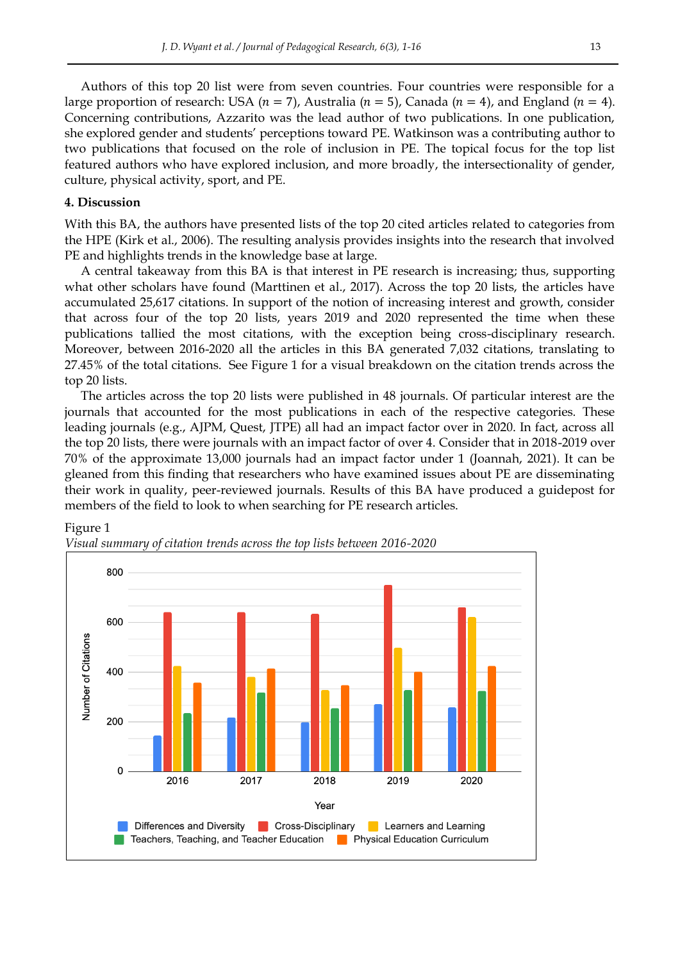Authors of this top 20 list were from seven countries. Four countries were responsible for a large proportion of research: USA ( $n = 7$ ), Australia ( $n = 5$ ), Canada ( $n = 4$ ), and England ( $n = 4$ ). Concerning contributions, Azzarito was the lead author of two publications. In one publication, she explored gender and students' perceptions toward PE. Watkinson was a contributing author to two publications that focused on the role of inclusion in PE. The topical focus for the top list featured authors who have explored inclusion, and more broadly, the intersectionality of gender, culture, physical activity, sport, and PE.

# **4. Discussion**

With this BA, the authors have presented lists of the top 20 cited articles related to categories from the HPE (Kirk et al., 2006). The resulting analysis provides insights into the research that involved PE and highlights trends in the knowledge base at large.

A central takeaway from this BA is that interest in PE research is increasing; thus, supporting what other scholars have found (Marttinen et al., 2017). Across the top 20 lists, the articles have accumulated 25,617 citations. In support of the notion of increasing interest and growth, consider that across four of the top 20 lists, years 2019 and 2020 represented the time when these publications tallied the most citations, with the exception being cross-disciplinary research. Moreover, between 2016-2020 all the articles in this BA generated 7,032 citations, translating to 27.45% of the total citations. See Figure 1 for a visual breakdown on the citation trends across the top 20 lists.

The articles across the top 20 lists were published in 48 journals. Of particular interest are the journals that accounted for the most publications in each of the respective categories. These leading journals (e.g., AJPM, Quest, JTPE) all had an impact factor over in 2020. In fact, across all the top 20 lists, there were journals with an impact factor of over 4. Consider that in 2018-2019 over 70% of the approximate 13,000 journals had an impact factor under 1 (Joannah, 2021). It can be gleaned from this finding that researchers who have examined issues about PE are disseminating their work in quality, peer-reviewed journals. Results of this BA have produced a guidepost for members of the field to look to when searching for PE research articles.



Figure 1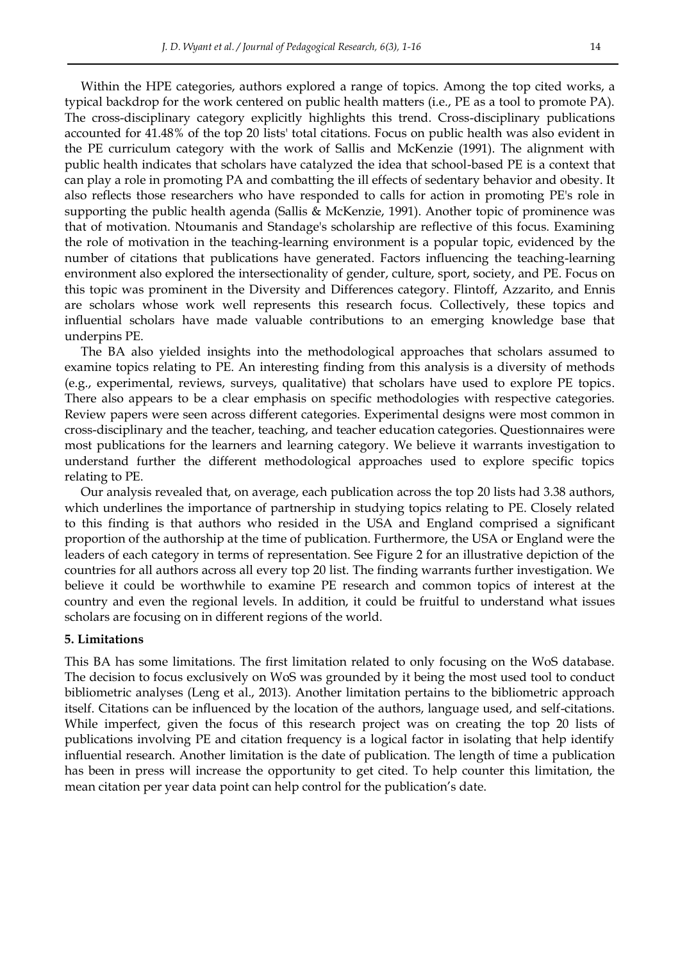Within the HPE categories, authors explored a range of topics. Among the top cited works, a typical backdrop for the work centered on public health matters (i.e., PE as a tool to promote PA). The cross-disciplinary category explicitly highlights this trend. Cross-disciplinary publications accounted for 41.48% of the top 20 lists' total citations. Focus on public health was also evident in the PE curriculum category with the work of Sallis and McKenzie (1991). The alignment with public health indicates that scholars have catalyzed the idea that school-based PE is a context that can play a role in promoting PA and combatting the ill effects of sedentary behavior and obesity. It also reflects those researchers who have responded to calls for action in promoting PE's role in supporting the public health agenda (Sallis & McKenzie, 1991). Another topic of prominence was that of motivation. Ntoumanis and Standage's scholarship are reflective of this focus. Examining the role of motivation in the teaching-learning environment is a popular topic, evidenced by the number of citations that publications have generated. Factors influencing the teaching-learning environment also explored the intersectionality of gender, culture, sport, society, and PE. Focus on this topic was prominent in the Diversity and Differences category. Flintoff, Azzarito, and Ennis are scholars whose work well represents this research focus. Collectively, these topics and influential scholars have made valuable contributions to an emerging knowledge base that underpins PE.

The BA also yielded insights into the methodological approaches that scholars assumed to examine topics relating to PE. An interesting finding from this analysis is a diversity of methods (e.g., experimental, reviews, surveys, qualitative) that scholars have used to explore PE topics. There also appears to be a clear emphasis on specific methodologies with respective categories. Review papers were seen across different categories. Experimental designs were most common in cross-disciplinary and the teacher, teaching, and teacher education categories. Questionnaires were most publications for the learners and learning category. We believe it warrants investigation to understand further the different methodological approaches used to explore specific topics relating to PE.

Our analysis revealed that, on average, each publication across the top 20 lists had 3.38 authors, which underlines the importance of partnership in studying topics relating to PE. Closely related to this finding is that authors who resided in the USA and England comprised a significant proportion of the authorship at the time of publication. Furthermore, the USA or England were the leaders of each category in terms of representation. See Figure 2 for an illustrative depiction of the countries for all authors across all every top 20 list. The finding warrants further investigation. We believe it could be worthwhile to examine PE research and common topics of interest at the country and even the regional levels. In addition, it could be fruitful to understand what issues scholars are focusing on in different regions of the world.

#### **5. Limitations**

This BA has some limitations. The first limitation related to only focusing on the WoS database. The decision to focus exclusively on WoS was grounded by it being the most used tool to conduct bibliometric analyses (Leng et al., 2013). Another limitation pertains to the bibliometric approach itself. Citations can be influenced by the location of the authors, language used, and self-citations. While imperfect, given the focus of this research project was on creating the top 20 lists of publications involving PE and citation frequency is a logical factor in isolating that help identify influential research. Another limitation is the date of publication. The length of time a publication has been in press will increase the opportunity to get cited. To help counter this limitation, the mean citation per year data point can help control for the publication's date.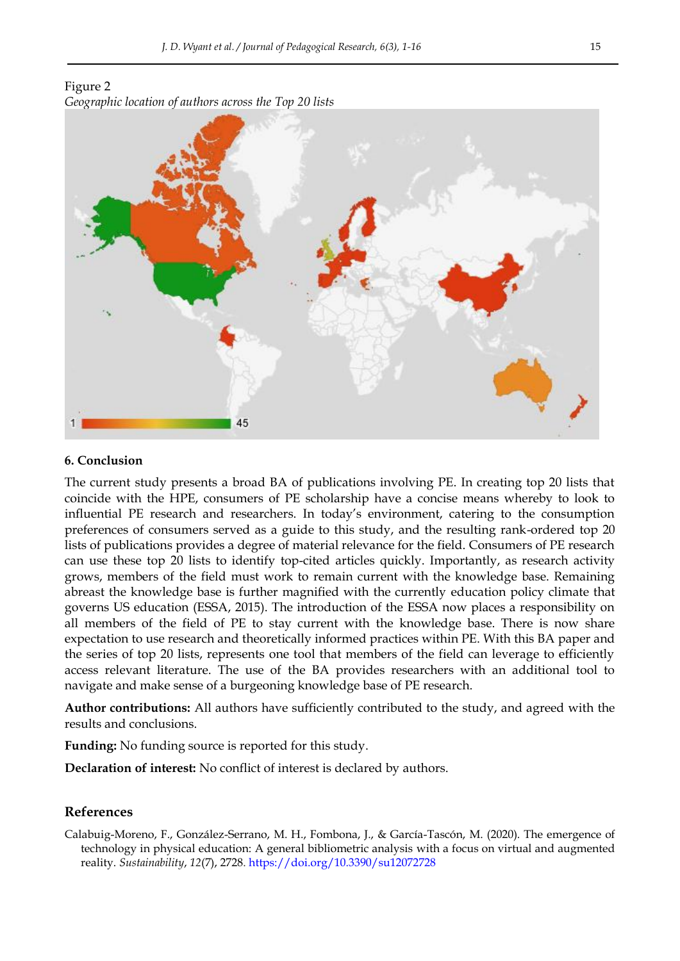Figure 2 *Geographic location of authors across the Top 20 lists*



# **6. Conclusion**

The current study presents a broad BA of publications involving PE. In creating top 20 lists that coincide with the HPE, consumers of PE scholarship have a concise means whereby to look to influential PE research and researchers. In today's environment, catering to the consumption preferences of consumers served as a guide to this study, and the resulting rank-ordered top 20 lists of publications provides a degree of material relevance for the field. Consumers of PE research can use these top 20 lists to identify top-cited articles quickly. Importantly, as research activity grows, members of the field must work to remain current with the knowledge base. Remaining abreast the knowledge base is further magnified with the currently education policy climate that governs US education (ESSA, 2015). The introduction of the ESSA now places a responsibility on all members of the field of PE to stay current with the knowledge base. There is now share expectation to use research and theoretically informed practices within PE. With this BA paper and the series of top 20 lists, represents one tool that members of the field can leverage to efficiently access relevant literature. The use of the BA provides researchers with an additional tool to navigate and make sense of a burgeoning knowledge base of PE research.

**Author contributions:** All authors have sufficiently contributed to the study, and agreed with the results and conclusions.

**Funding:** No funding source is reported for this study.

**Declaration of interest:** No conflict of interest is declared by authors.

#### **References**

Calabuig-Moreno, F., González-Serrano, M. H., Fombona, J., & García-Tascón, M. (2020). The emergence of technology in physical education: A general bibliometric analysis with a focus on virtual and augmented reality. *Sustainability*, *12*(7), 2728.<https://doi.org/10.3390/su12072728>